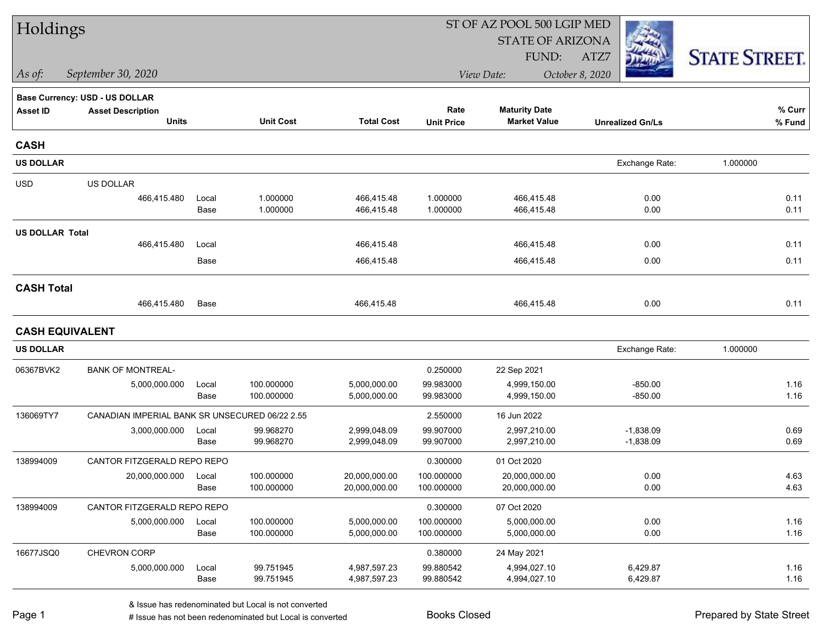| Holdings               |                                                |               |                          |                              |                          | ST OF AZ POOL 500 LGIP MED   |                         |                      |
|------------------------|------------------------------------------------|---------------|--------------------------|------------------------------|--------------------------|------------------------------|-------------------------|----------------------|
|                        |                                                |               |                          |                              |                          | <b>STATE OF ARIZONA</b>      |                         |                      |
|                        |                                                |               |                          |                              |                          | FUND:                        | ATZ7                    | <b>STATE STREET.</b> |
| As of:                 | September 30, 2020                             |               |                          |                              |                          | View Date:                   | October 8, 2020         |                      |
|                        | Base Currency: USD - US DOLLAR                 |               |                          |                              |                          |                              |                         |                      |
| <b>Asset ID</b>        | <b>Asset Description</b>                       |               |                          |                              | Rate                     | <b>Maturity Date</b>         |                         | % Curr               |
|                        | <b>Units</b>                                   |               | <b>Unit Cost</b>         | <b>Total Cost</b>            | <b>Unit Price</b>        | <b>Market Value</b>          | <b>Unrealized Gn/Ls</b> | % Fund               |
| <b>CASH</b>            |                                                |               |                          |                              |                          |                              |                         |                      |
| <b>US DOLLAR</b>       |                                                |               |                          |                              |                          |                              | Exchange Rate:          | 1.000000             |
| <b>USD</b>             | US DOLLAR                                      |               |                          |                              |                          |                              |                         |                      |
|                        | 466,415.480                                    | Local         | 1.000000                 | 466,415.48                   | 1.000000                 | 466,415.48                   | 0.00                    | 0.11                 |
|                        |                                                | Base          | 1.000000                 | 466,415.48                   | 1.000000                 | 466,415.48                   | 0.00                    | 0.11                 |
| <b>US DOLLAR Total</b> |                                                |               |                          |                              |                          |                              |                         |                      |
|                        | 466,415.480                                    | Local         |                          | 466,415.48                   |                          | 466,415.48                   | 0.00                    | 0.11                 |
|                        |                                                | Base          |                          | 466,415.48                   |                          | 466,415.48                   | 0.00                    | 0.11                 |
| <b>CASH Total</b>      |                                                |               |                          |                              |                          |                              |                         |                      |
|                        | 466,415.480                                    | Base          |                          | 466,415.48                   |                          | 466,415.48                   | 0.00                    | 0.11                 |
| <b>CASH EQUIVALENT</b> |                                                |               |                          |                              |                          |                              |                         |                      |
| <b>US DOLLAR</b>       |                                                |               |                          |                              |                          |                              | Exchange Rate:          | 1.000000             |
| 06367BVK2              | <b>BANK OF MONTREAL-</b>                       |               |                          |                              | 0.250000                 | 22 Sep 2021                  |                         |                      |
|                        | 5,000,000.000                                  | Local         | 100.000000               | 5,000,000.00                 | 99.983000                | 4,999,150.00                 | $-850.00$               | 1.16                 |
|                        |                                                | Base          | 100.000000               | 5,000,000.00                 | 99.983000                | 4,999,150.00                 | $-850.00$               | 1.16                 |
| 136069TY7              | CANADIAN IMPERIAL BANK SR UNSECURED 06/22 2.55 |               |                          |                              | 2.550000                 | 16 Jun 2022                  |                         |                      |
|                        | 3,000,000.000                                  | Local         | 99.968270                | 2,999,048.09                 | 99.907000                | 2,997,210.00                 | $-1,838.09$             | 0.69                 |
|                        |                                                | Base          | 99.968270                | 2,999,048.09                 | 99.907000                | 2,997,210.00                 | $-1,838.09$             | 0.69                 |
| 138994009              | CANTOR FITZGERALD REPO REPO                    |               |                          |                              | 0.300000                 | 01 Oct 2020                  |                         |                      |
|                        | 20,000,000.000                                 | Local<br>Base | 100.000000<br>100.000000 | 20,000,000.00                | 100.000000<br>100.000000 | 20,000,000.00                | 0.00<br>0.00            | 4.63<br>4.63         |
|                        |                                                |               |                          | 20,000,000.00                |                          | 20,000,000.00                |                         |                      |
| 138994009              | CANTOR FITZGERALD REPO REPO                    |               |                          |                              | 0.300000                 | 07 Oct 2020                  |                         |                      |
|                        | 5,000,000.000                                  | Local<br>Base | 100.000000<br>100.000000 | 5,000,000.00<br>5,000,000.00 | 100.000000<br>100.000000 | 5,000,000.00<br>5,000,000.00 | 0.00<br>0.00            | 1.16<br>1.16         |
| 16677JSQ0              | CHEVRON CORP                                   |               |                          |                              | 0.380000                 | 24 May 2021                  |                         |                      |
|                        | 5,000,000.000                                  | Local         | 99.751945                | 4,987,597.23                 | 99.880542                | 4,994,027.10                 | 6,429.87                | 1.16                 |
|                        |                                                | Base          | 99.751945                | 4,987,597.23                 | 99.880542                | 4,994,027.10                 | 6,429.87                | 1.16                 |
|                        |                                                |               |                          |                              |                          |                              |                         |                      |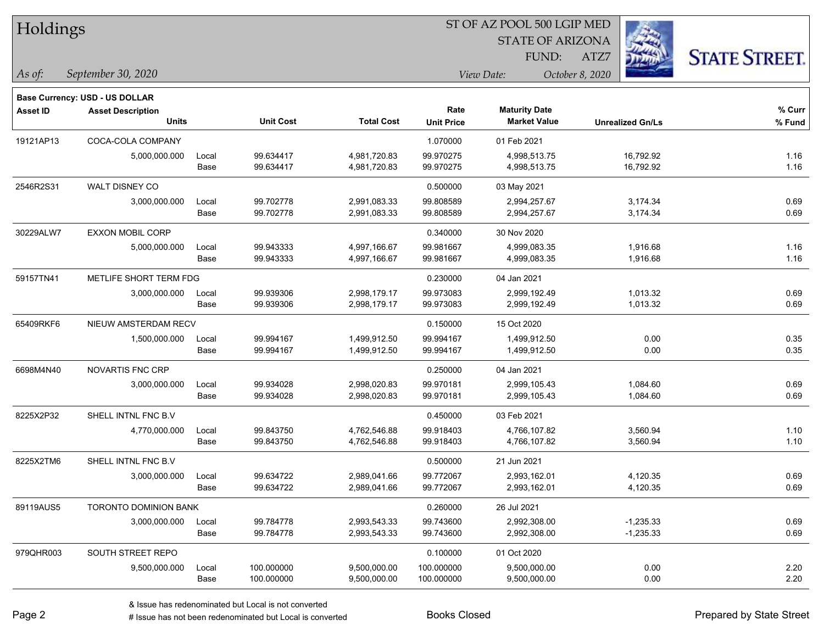| Holdings        |                                       |       |                  |                   |                   |                         |                         |                      |
|-----------------|---------------------------------------|-------|------------------|-------------------|-------------------|-------------------------|-------------------------|----------------------|
|                 |                                       |       |                  |                   |                   | <b>STATE OF ARIZONA</b> |                         |                      |
|                 |                                       |       |                  |                   |                   | FUND:                   | ATZ7                    | <b>STATE STREET.</b> |
| As of:          | September 30, 2020                    |       |                  |                   |                   | View Date:              | October 8, 2020         |                      |
|                 | <b>Base Currency: USD - US DOLLAR</b> |       |                  |                   |                   |                         |                         |                      |
| <b>Asset ID</b> | <b>Asset Description</b>              |       |                  |                   | Rate              | <b>Maturity Date</b>    |                         | % Curr               |
|                 | <b>Units</b>                          |       | <b>Unit Cost</b> | <b>Total Cost</b> | <b>Unit Price</b> | <b>Market Value</b>     | <b>Unrealized Gn/Ls</b> | % Fund               |
| 19121AP13       | COCA-COLA COMPANY                     |       |                  |                   | 1.070000          | 01 Feb 2021             |                         |                      |
|                 | 5,000,000.000                         | Local | 99.634417        | 4,981,720.83      | 99.970275         | 4,998,513.75            | 16,792.92               | 1.16                 |
|                 |                                       | Base  | 99.634417        | 4,981,720.83      | 99.970275         | 4,998,513.75            | 16,792.92               | 1.16                 |
| 2546R2S31       | WALT DISNEY CO                        |       |                  |                   | 0.500000          | 03 May 2021             |                         |                      |
|                 | 3,000,000.000                         | Local | 99.702778        | 2,991,083.33      | 99.808589         | 2,994,257.67            | 3,174.34                | 0.69                 |
|                 |                                       | Base  | 99.702778        | 2,991,083.33      | 99.808589         | 2,994,257.67            | 3,174.34                | 0.69                 |
| 30229ALW7       | <b>EXXON MOBIL CORP</b>               |       |                  |                   | 0.340000          | 30 Nov 2020             |                         |                      |
|                 | 5,000,000.000                         | Local | 99.943333        | 4,997,166.67      | 99.981667         | 4,999,083.35            | 1,916.68                | 1.16                 |
|                 |                                       | Base  | 99.943333        | 4,997,166.67      | 99.981667         | 4,999,083.35            | 1,916.68                | 1.16                 |
| 59157TN41       | METLIFE SHORT TERM FDG                |       |                  |                   | 0.230000          | 04 Jan 2021             |                         |                      |
|                 | 3,000,000.000                         | Local | 99.939306        | 2,998,179.17      | 99.973083         | 2,999,192.49            | 1,013.32                | 0.69                 |
|                 |                                       | Base  | 99.939306        | 2,998,179.17      | 99.973083         | 2,999,192.49            | 1,013.32                | 0.69                 |
| 65409RKF6       | NIEUW AMSTERDAM RECV                  |       |                  |                   | 0.150000          | 15 Oct 2020             |                         |                      |
|                 | 1,500,000.000                         | Local | 99.994167        | 1,499,912.50      | 99.994167         | 1,499,912.50            | 0.00                    | 0.35                 |
|                 |                                       | Base  | 99.994167        | 1,499,912.50      | 99.994167         | 1,499,912.50            | 0.00                    | 0.35                 |
| 6698M4N40       | NOVARTIS FNC CRP                      |       |                  |                   | 0.250000          | 04 Jan 2021             |                         |                      |
|                 | 3,000,000.000                         | Local | 99.934028        | 2,998,020.83      | 99.970181         | 2,999,105.43            | 1,084.60                | 0.69                 |
|                 |                                       | Base  | 99.934028        | 2,998,020.83      | 99.970181         | 2,999,105.43            | 1,084.60                | 0.69                 |
| 8225X2P32       | SHELL INTNL FNC B.V                   |       |                  |                   | 0.450000          | 03 Feb 2021             |                         |                      |
|                 | 4,770,000.000                         | Local | 99.843750        | 4,762,546.88      | 99.918403         | 4,766,107.82            | 3,560.94                | 1.10                 |
|                 |                                       | Base  | 99.843750        | 4,762,546.88      | 99.918403         | 4,766,107.82            | 3,560.94                | 1.10                 |
| 8225X2TM6       | SHELL INTNL FNC B.V                   |       |                  |                   | 0.500000          | 21 Jun 2021             |                         |                      |
|                 | 3,000,000.000                         | Local | 99.634722        | 2,989,041.66      | 99.772067         | 2,993,162.01            | 4,120.35                | 0.69                 |
|                 |                                       | Base  | 99.634722        | 2,989,041.66      | 99.772067         | 2,993,162.01            | 4,120.35                | 0.69                 |
| 89119AUS5       | <b>TORONTO DOMINION BANK</b>          |       |                  |                   | 0.260000          | 26 Jul 2021             |                         |                      |
|                 | 3,000,000.000                         | Local | 99.784778        | 2,993,543.33      | 99.743600         | 2,992,308.00            | $-1,235.33$             | 0.69                 |
|                 |                                       | Base  | 99.784778        | 2,993,543.33      | 99.743600         | 2,992,308.00            | $-1,235.33$             | 0.69                 |
| 979QHR003       | SOUTH STREET REPO                     |       |                  |                   | 0.100000          | 01 Oct 2020             |                         |                      |
|                 | 9,500,000.000                         | Local | 100.000000       | 9,500,000.00      | 100.000000        | 9,500,000.00            | 0.00                    | 2.20                 |
|                 |                                       | Base  | 100.000000       | 9,500,000.00      | 100.000000        | 9,500,000.00            | 0.00                    | 2.20                 |

۰

 $\overline{\phantom{0}}$ 

-

 $\overline{\phantom{0}}$ 

÷.

÷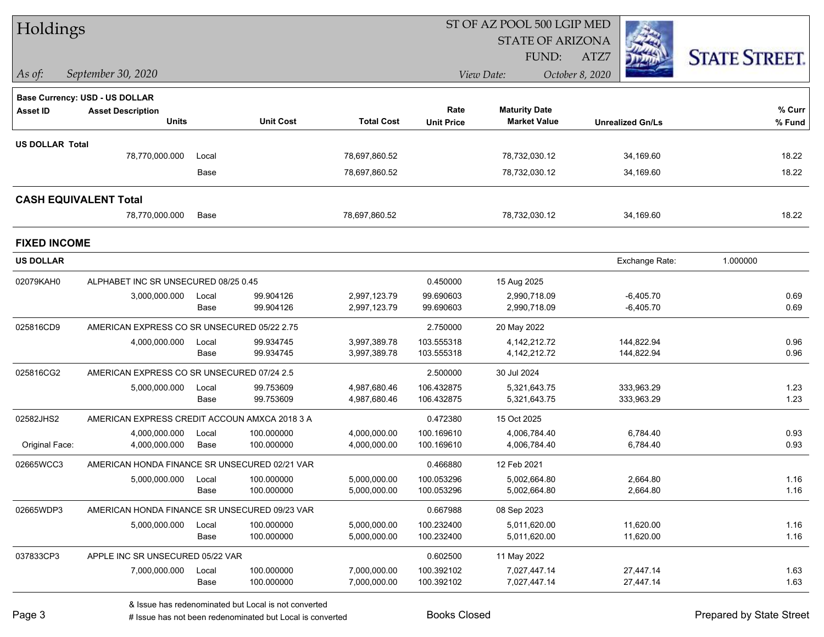| Holdings               |                                               |               |                          |                              |                          | ST OF AZ POOL 500 LGIP MED   |                          |                      |
|------------------------|-----------------------------------------------|---------------|--------------------------|------------------------------|--------------------------|------------------------------|--------------------------|----------------------|
|                        |                                               |               |                          |                              |                          | <b>STATE OF ARIZONA</b>      |                          |                      |
|                        |                                               |               |                          |                              |                          | <b>FUND:</b>                 | ATZ7                     | <b>STATE STREET.</b> |
| $\vert$ As of:         | September 30, 2020                            |               |                          |                              |                          | View Date:                   | October 8, 2020          |                      |
|                        | <b>Base Currency: USD - US DOLLAR</b>         |               |                          |                              |                          |                              |                          |                      |
| <b>Asset ID</b>        | <b>Asset Description</b>                      |               |                          |                              | Rate                     | <b>Maturity Date</b>         |                          | % Curr               |
|                        | <b>Units</b>                                  |               | <b>Unit Cost</b>         | <b>Total Cost</b>            | <b>Unit Price</b>        | <b>Market Value</b>          | <b>Unrealized Gn/Ls</b>  | % Fund               |
| <b>US DOLLAR Total</b> |                                               |               |                          |                              |                          |                              |                          |                      |
|                        | 78,770,000.000                                | Local         |                          | 78,697,860.52                |                          | 78,732,030.12                | 34,169.60                | 18.22                |
|                        |                                               | Base          |                          | 78,697,860.52                |                          | 78,732,030.12                | 34,169.60                | 18.22                |
|                        | <b>CASH EQUIVALENT Total</b>                  |               |                          |                              |                          |                              |                          |                      |
|                        | 78,770,000.000                                | Base          |                          | 78,697,860.52                |                          | 78,732,030.12                | 34,169.60                | 18.22                |
| <b>FIXED INCOME</b>    |                                               |               |                          |                              |                          |                              |                          |                      |
| <b>US DOLLAR</b>       |                                               |               |                          |                              |                          |                              | Exchange Rate:           | 1.000000             |
| 02079KAH0              | ALPHABET INC SR UNSECURED 08/25 0.45          |               |                          |                              | 0.450000                 | 15 Aug 2025                  |                          |                      |
|                        | 3,000,000.000                                 | Local         | 99.904126                | 2,997,123.79                 | 99.690603                | 2,990,718.09                 | $-6,405.70$              | 0.69                 |
|                        |                                               | Base          | 99.904126                | 2,997,123.79                 | 99.690603                | 2,990,718.09                 | $-6,405.70$              | 0.69                 |
| 025816CD9              | AMERICAN EXPRESS CO SR UNSECURED 05/22 2.75   |               |                          |                              | 2.750000                 | 20 May 2022                  |                          |                      |
|                        | 4,000,000.000                                 | Local         | 99.934745                | 3,997,389.78                 | 103.555318               | 4, 142, 212. 72              | 144,822.94               | 0.96                 |
|                        |                                               | Base          | 99.934745                | 3,997,389.78                 | 103.555318               | 4, 142, 212. 72              | 144,822.94               | 0.96                 |
| 025816CG2              | AMERICAN EXPRESS CO SR UNSECURED 07/24 2.5    |               |                          |                              | 2.500000                 | 30 Jul 2024                  |                          |                      |
|                        | 5,000,000.000                                 | Local<br>Base | 99.753609<br>99.753609   | 4,987,680.46<br>4,987,680.46 | 106.432875<br>106.432875 | 5,321,643.75<br>5,321,643.75 | 333,963.29<br>333,963.29 | 1.23<br>1.23         |
|                        |                                               |               |                          |                              |                          |                              |                          |                      |
| 02582JHS2              | AMERICAN EXPRESS CREDIT ACCOUN AMXCA 2018 3 A |               |                          |                              | 0.472380                 | 15 Oct 2025                  |                          |                      |
| Original Face:         | 4,000,000.000<br>4,000,000.000                | Local<br>Base | 100.000000<br>100.000000 | 4,000,000.00<br>4,000,000.00 | 100.169610<br>100.169610 | 4,006,784.40<br>4,006,784.40 | 6,784.40<br>6,784.40     | 0.93<br>0.93         |
| 02665WCC3              | AMERICAN HONDA FINANCE SR UNSECURED 02/21 VAR |               |                          |                              | 0.466880                 | 12 Feb 2021                  |                          |                      |
|                        | 5,000,000.000 Local                           |               | 100.000000               | 5,000,000.00                 | 100.053296               | 5,002,664.80                 | 2,664.80                 | 1.16                 |
|                        |                                               | Base          | 100.000000               | 5,000,000.00                 | 100.053296               | 5,002,664.80                 | 2,664.80                 | 1.16                 |
| 02665WDP3              | AMERICAN HONDA FINANCE SR UNSECURED 09/23 VAR |               |                          |                              | 0.667988                 | 08 Sep 2023                  |                          |                      |
|                        | 5,000,000.000                                 | Local         | 100.000000               | 5,000,000.00                 | 100.232400               | 5,011,620.00                 | 11,620.00                | 1.16                 |
|                        |                                               | Base          | 100.000000               | 5,000,000.00                 | 100.232400               | 5,011,620.00                 | 11,620.00                | 1.16                 |
| 037833CP3              | APPLE INC SR UNSECURED 05/22 VAR              |               |                          |                              | 0.602500                 | 11 May 2022                  |                          |                      |
|                        | 7,000,000.000                                 | Local         | 100.000000               | 7,000,000.00                 | 100.392102               | 7,027,447.14                 | 27,447.14                | 1.63                 |
|                        |                                               | Base          | 100.000000               | 7,000,000.00                 | 100.392102               | 7,027,447.14                 | 27,447.14                | 1.63                 |

# Issue has not been redenominated but Local is converted Books Closed Prepared by State Street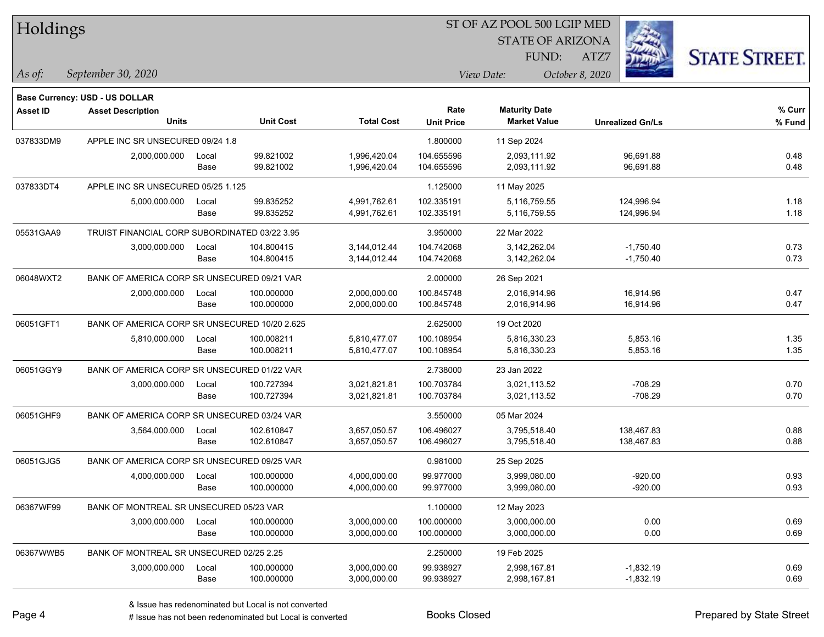| Holdings        |                                               |       |                  |                   |                   | ST OF AZ POOL 500 LGIP MED |                         |                      |  |
|-----------------|-----------------------------------------------|-------|------------------|-------------------|-------------------|----------------------------|-------------------------|----------------------|--|
|                 |                                               |       |                  |                   |                   | <b>STATE OF ARIZONA</b>    |                         |                      |  |
|                 |                                               |       |                  |                   |                   | FUND:                      | ATZ7                    | <b>STATE STREET.</b> |  |
| As of:          | September 30, 2020                            |       |                  |                   |                   | View Date:                 | October 8, 2020         |                      |  |
|                 | <b>Base Currency: USD - US DOLLAR</b>         |       |                  |                   |                   |                            |                         |                      |  |
| <b>Asset ID</b> | <b>Asset Description</b>                      |       |                  |                   | Rate              | <b>Maturity Date</b>       |                         | % Curr               |  |
|                 | <b>Units</b>                                  |       | <b>Unit Cost</b> | <b>Total Cost</b> | <b>Unit Price</b> | <b>Market Value</b>        | <b>Unrealized Gn/Ls</b> | % Fund               |  |
| 037833DM9       | APPLE INC SR UNSECURED 09/24 1.8              |       |                  |                   | 1.800000          | 11 Sep 2024                |                         |                      |  |
|                 | 2,000,000.000                                 | Local | 99.821002        | 1,996,420.04      | 104.655596        | 2,093,111.92               | 96,691.88               | 0.48                 |  |
|                 |                                               | Base  | 99.821002        | 1,996,420.04      | 104.655596        | 2,093,111.92               | 96,691.88               | 0.48                 |  |
| 037833DT4       | APPLE INC SR UNSECURED 05/25 1.125            |       |                  |                   | 1.125000          | 11 May 2025                |                         |                      |  |
|                 | 5,000,000.000                                 | Local | 99.835252        | 4,991,762.61      | 102.335191        | 5,116,759.55               | 124,996.94              | 1.18                 |  |
|                 |                                               | Base  | 99.835252        | 4,991,762.61      | 102.335191        | 5,116,759.55               | 124,996.94              | 1.18                 |  |
| 05531GAA9       | TRUIST FINANCIAL CORP SUBORDINATED 03/22 3.95 |       |                  |                   | 3.950000          | 22 Mar 2022                |                         |                      |  |
|                 | 3,000,000.000                                 | Local | 104.800415       | 3,144,012.44      | 104.742068        | 3,142,262.04               | $-1,750.40$             | 0.73                 |  |
|                 |                                               | Base  | 104.800415       | 3,144,012.44      | 104.742068        | 3,142,262.04               | $-1,750.40$             | 0.73                 |  |
| 06048WXT2       | BANK OF AMERICA CORP SR UNSECURED 09/21 VAR   |       |                  |                   | 2.000000          | 26 Sep 2021                |                         |                      |  |
|                 | 2,000,000.000                                 | Local | 100.000000       | 2,000,000.00      | 100.845748        | 2,016,914.96               | 16,914.96               | 0.47                 |  |
|                 |                                               | Base  | 100.000000       | 2,000,000.00      | 100.845748        | 2,016,914.96               | 16,914.96               | 0.47                 |  |
| 06051GFT1       | BANK OF AMERICA CORP SR UNSECURED 10/20 2.625 |       |                  |                   | 2.625000          | 19 Oct 2020                |                         |                      |  |
|                 | 5,810,000.000                                 | Local | 100.008211       | 5,810,477.07      | 100.108954        | 5,816,330.23               | 5,853.16                | 1.35                 |  |
|                 |                                               | Base  | 100.008211       | 5,810,477.07      | 100.108954        | 5,816,330.23               | 5,853.16                | 1.35                 |  |
| 06051GGY9       | BANK OF AMERICA CORP SR UNSECURED 01/22 VAR   |       |                  |                   | 2.738000          | 23 Jan 2022                |                         |                      |  |
|                 | 3,000,000.000                                 | Local | 100.727394       | 3,021,821.81      | 100.703784        | 3,021,113.52               | $-708.29$               | 0.70                 |  |
|                 |                                               | Base  | 100.727394       | 3,021,821.81      | 100.703784        | 3,021,113.52               | $-708.29$               | 0.70                 |  |
| 06051GHF9       | BANK OF AMERICA CORP SR UNSECURED 03/24 VAR   |       |                  |                   | 3.550000          | 05 Mar 2024                |                         |                      |  |
|                 | 3,564,000.000                                 | Local | 102.610847       | 3,657,050.57      | 106.496027        | 3,795,518.40               | 138,467.83              | 0.88                 |  |
|                 |                                               | Base  | 102.610847       | 3,657,050.57      | 106.496027        | 3,795,518.40               | 138,467.83              | 0.88                 |  |
| 06051GJG5       | BANK OF AMERICA CORP SR UNSECURED 09/25 VAR   |       |                  |                   | 0.981000          | 25 Sep 2025                |                         |                      |  |
|                 | 4,000,000.000                                 | Local | 100.000000       | 4,000,000.00      | 99.977000         | 3,999,080.00               | $-920.00$               | 0.93                 |  |
|                 |                                               | Base  | 100.000000       | 4,000,000.00      | 99.977000         | 3,999,080.00               | $-920.00$               | 0.93                 |  |
| 06367WF99       | BANK OF MONTREAL SR UNSECURED 05/23 VAR       |       |                  |                   | 1.100000          | 12 May 2023                |                         |                      |  |
|                 | 3,000,000.000                                 | Local | 100.000000       | 3,000,000.00      | 100.000000        | 3,000,000.00               | 0.00                    | 0.69                 |  |
|                 |                                               | Base  | 100.000000       | 3,000,000.00      | 100.000000        | 3,000,000.00               | 0.00                    | 0.69                 |  |
| 06367WWB5       | BANK OF MONTREAL SR UNSECURED 02/25 2.25      |       |                  |                   | 2.250000          | 19 Feb 2025                |                         |                      |  |
|                 | 3,000,000.000                                 | Local | 100.000000       | 3,000,000.00      | 99.938927         | 2,998,167.81               | $-1,832.19$             | 0.69                 |  |
|                 |                                               | Base  | 100.000000       | 3,000,000.00      | 99.938927         | 2,998,167.81               | $-1,832.19$             | 0.69                 |  |

÷.

۰

-

 $\overline{\phantom{0}}$ 

denote the redenominated but Local is converted Books Closed Prepared by State Street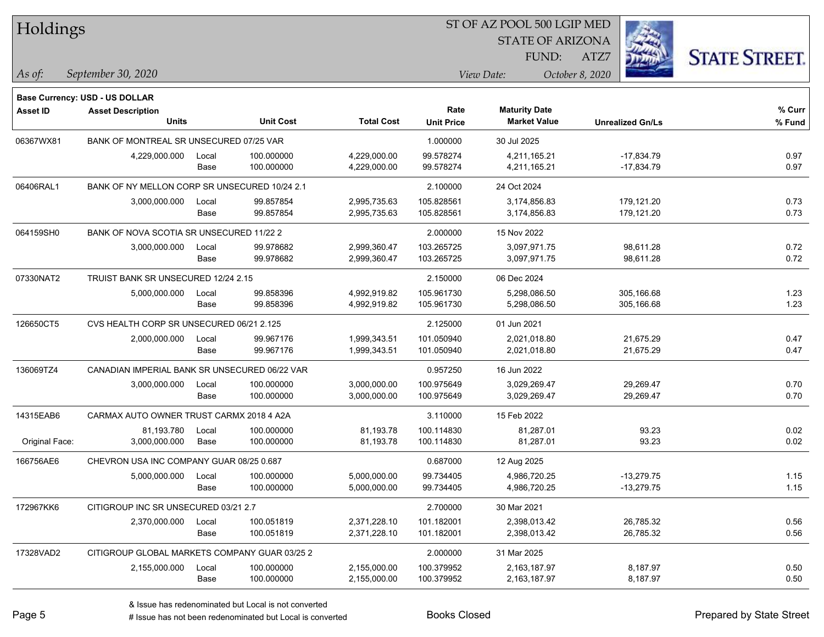| Holdings       |                                               |       |                  |                   |                   | 51 OF AZ POOL 500 LGIP MED |                         |                     |
|----------------|-----------------------------------------------|-------|------------------|-------------------|-------------------|----------------------------|-------------------------|---------------------|
|                |                                               |       |                  |                   |                   | <b>STATE OF ARIZONA</b>    |                         |                     |
|                |                                               |       |                  |                   |                   | FUND:                      | ATZ7                    | <b>STATE STREET</b> |
| $As$ of:       | September 30, 2020                            |       |                  |                   |                   | View Date:                 | October 8, 2020         |                     |
|                |                                               |       |                  |                   |                   |                            |                         |                     |
|                | Base Currency: USD - US DOLLAR                |       |                  |                   |                   |                            |                         |                     |
| Asset ID       | <b>Asset Description</b>                      |       |                  |                   | Rate              | <b>Maturity Date</b>       |                         | % Curr              |
|                | <b>Units</b>                                  |       | <b>Unit Cost</b> | <b>Total Cost</b> | <b>Unit Price</b> | <b>Market Value</b>        | <b>Unrealized Gn/Ls</b> | % Fund              |
| 06367WX81      | BANK OF MONTREAL SR UNSECURED 07/25 VAR       |       |                  |                   | 1.000000          | 30 Jul 2025                |                         |                     |
|                | 4,229,000.000                                 | Local | 100.000000       | 4,229,000.00      | 99.578274         | 4,211,165.21               | $-17,834.79$            | 0.97                |
|                |                                               | Base  | 100.000000       | 4,229,000.00      | 99.578274         | 4,211,165.21               | $-17,834.79$            | 0.97                |
| 06406RAL1      | BANK OF NY MELLON CORP SR UNSECURED 10/24 2.1 |       |                  |                   | 2.100000          | 24 Oct 2024                |                         |                     |
|                | 3,000,000.000                                 | Local | 99.857854        | 2,995,735.63      | 105.828561        | 3,174,856.83               | 179,121.20              | 0.73                |
|                |                                               | Base  | 99.857854        | 2,995,735.63      | 105.828561        | 3,174,856.83               | 179,121.20              | 0.73                |
| 064159SH0      | BANK OF NOVA SCOTIA SR UNSECURED 11/22 2      |       |                  |                   | 2.000000          | 15 Nov 2022                |                         |                     |
|                | 3,000,000.000                                 | Local | 99.978682        | 2,999,360.47      | 103.265725        | 3,097,971.75               | 98,611.28               | 0.72                |
|                |                                               | Base  | 99.978682        | 2,999,360.47      | 103.265725        | 3,097,971.75               | 98,611.28               | 0.72                |
| 07330NAT2      | TRUIST BANK SR UNSECURED 12/24 2.15           |       |                  |                   | 2.150000          | 06 Dec 2024                |                         |                     |
|                | 5,000,000.000                                 | Local | 99.858396        | 4,992,919.82      | 105.961730        | 5,298,086.50               | 305,166.68              | 1.23                |
|                |                                               | Base  | 99.858396        | 4,992,919.82      | 105.961730        | 5,298,086.50               | 305,166.68              | 1.23                |
| 126650CT5      | CVS HEALTH CORP SR UNSECURED 06/21 2.125      |       |                  |                   | 2.125000          | 01 Jun 2021                |                         |                     |
|                | 2,000,000.000                                 | Local | 99.967176        | 1,999,343.51      | 101.050940        | 2,021,018.80               | 21,675.29               | 0.47                |
|                |                                               | Base  | 99.967176        | 1,999,343.51      | 101.050940        | 2,021,018.80               | 21,675.29               | 0.47                |
| 136069TZ4      | CANADIAN IMPERIAL BANK SR UNSECURED 06/22 VAR |       |                  |                   | 0.957250          | 16 Jun 2022                |                         |                     |
|                | 3,000,000.000                                 | Local | 100.000000       | 3,000,000.00      | 100.975649        | 3,029,269.47               | 29,269.47               | 0.70                |
|                |                                               | Base  | 100.000000       | 3,000,000.00      | 100.975649        | 3,029,269.47               | 29,269.47               | 0.70                |
| 14315EAB6      | CARMAX AUTO OWNER TRUST CARMX 2018 4 A2A      |       |                  |                   | 3.110000          | 15 Feb 2022                |                         |                     |
|                | 81,193.780                                    | Local | 100.000000       | 81,193.78         | 100.114830        | 81,287.01                  | 93.23                   | 0.02                |
| Original Face: | 3,000,000.000                                 | Base  | 100.000000       | 81,193.78         | 100.114830        | 81,287.01                  | 93.23                   | 0.02                |
| 166756AE6      | CHEVRON USA INC COMPANY GUAR 08/25 0.687      |       |                  |                   | 0.687000          | 12 Aug 2025                |                         |                     |
|                | 5,000,000.000                                 | Local | 100.000000       | 5,000,000.00      | 99.734405         | 4,986,720.25               | $-13,279.75$            | 1.15                |
|                |                                               | Base  | 100.000000       | 5,000,000.00      | 99.734405         | 4,986,720.25               | $-13,279.75$            | 1.15                |
| 172967KK6      | CITIGROUP INC SR UNSECURED 03/21 2.7          |       |                  |                   | 2.700000          | 30 Mar 2021                |                         |                     |
|                | 2,370,000.000                                 | Local | 100.051819       | 2,371,228.10      | 101.182001        | 2,398,013.42               | 26,785.32               | 0.56                |
|                |                                               | Base  | 100.051819       | 2,371,228.10      | 101.182001        | 2,398,013.42               | 26,785.32               | 0.56                |
| 17328VAD2      | CITIGROUP GLOBAL MARKETS COMPANY GUAR 03/25 2 |       |                  |                   | 2.000000          | 31 Mar 2025                |                         |                     |
|                | 2,155,000.000                                 | Local | 100.000000       | 2,155,000.00      | 100.379952        | 2,163,187.97               | 8,187.97                | 0.50                |
|                |                                               | Base  | 100.000000       | 2,155,000.00      | 100.379952        | 2,163,187.97               | 8,187.97                | 0.50                |

 $STOT$   $BT A Z DOQI$  500 LGIP MED

denote the redenominated but Local is converted Books Closed Prepared by State Street

٦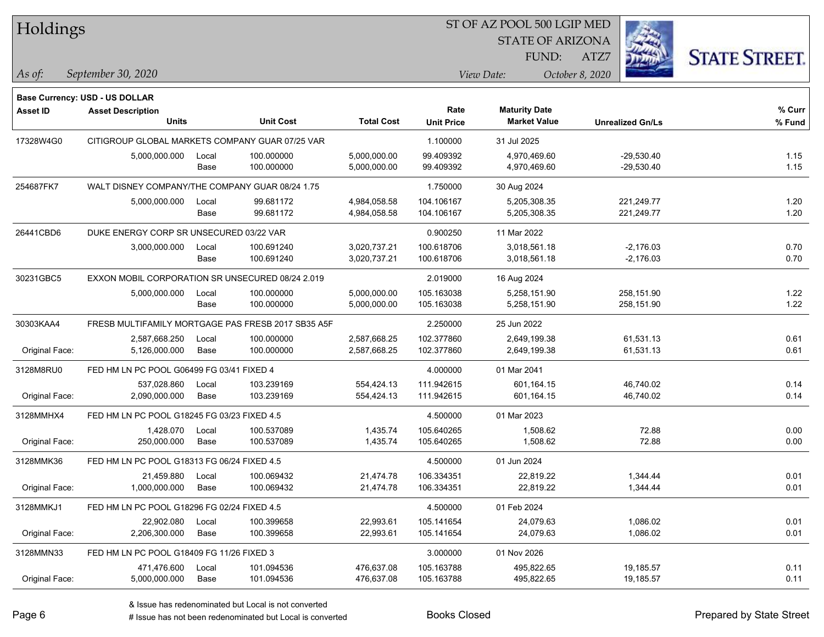| Holdings |
|----------|
|----------|

STATE OF ARIZONA FUND:



*September 30, 2020 As of: View Date: October 8, 2020*

**Base Currency: USD - US DOLLAR**

ATZ7

| Asset ID       | <b>Asset Description</b>                         |       |                                                    |                   | Rate              | <b>Maturity Date</b> |                         | % Curr |
|----------------|--------------------------------------------------|-------|----------------------------------------------------|-------------------|-------------------|----------------------|-------------------------|--------|
|                | <b>Units</b>                                     |       | <b>Unit Cost</b>                                   | <b>Total Cost</b> | <b>Unit Price</b> | <b>Market Value</b>  | <b>Unrealized Gn/Ls</b> | % Fund |
| 17328W4G0      | CITIGROUP GLOBAL MARKETS COMPANY GUAR 07/25 VAR  |       |                                                    |                   | 1.100000          | 31 Jul 2025          |                         |        |
|                | 5,000,000.000                                    | Local | 100.000000                                         | 5,000,000.00      | 99.409392         | 4,970,469.60         | $-29,530.40$            | 1.15   |
|                |                                                  | Base  | 100.000000                                         | 5,000,000.00      | 99.409392         | 4,970,469.60         | $-29,530.40$            | 1.15   |
| 254687FK7      | WALT DISNEY COMPANY/THE COMPANY GUAR 08/24 1.75  |       |                                                    |                   | 1.750000          | 30 Aug 2024          |                         |        |
|                | 5,000,000.000                                    | Local | 99.681172                                          | 4,984,058.58      | 104.106167        | 5,205,308.35         | 221,249.77              | 1.20   |
|                |                                                  | Base  | 99.681172                                          | 4,984,058.58      | 104.106167        | 5,205,308.35         | 221,249.77              | 1.20   |
| 26441CBD6      | DUKE ENERGY CORP SR UNSECURED 03/22 VAR          |       |                                                    |                   | 0.900250          | 11 Mar 2022          |                         |        |
|                | 3,000,000.000                                    | Local | 100.691240                                         | 3,020,737.21      | 100.618706        | 3,018,561.18         | $-2,176.03$             | 0.70   |
|                |                                                  | Base  | 100.691240                                         | 3,020,737.21      | 100.618706        | 3,018,561.18         | $-2,176.03$             | 0.70   |
| 30231GBC5      | EXXON MOBIL CORPORATION SR UNSECURED 08/24 2.019 |       |                                                    |                   | 2.019000          | 16 Aug 2024          |                         |        |
|                | 5,000,000.000                                    | Local | 100.000000                                         | 5,000,000.00      | 105.163038        | 5,258,151.90         | 258,151.90              | 1.22   |
|                |                                                  | Base  | 100.000000                                         | 5,000,000.00      | 105.163038        | 5,258,151.90         | 258,151.90              | 1.22   |
| 30303KAA4      |                                                  |       | FRESB MULTIFAMILY MORTGAGE PAS FRESB 2017 SB35 A5F |                   | 2.250000          | 25 Jun 2022          |                         |        |
|                | 2,587,668.250                                    | Local | 100.000000                                         | 2,587,668.25      | 102.377860        | 2,649,199.38         | 61,531.13               | 0.61   |
| Original Face: | 5,126,000.000                                    | Base  | 100.000000                                         | 2,587,668.25      | 102.377860        | 2,649,199.38         | 61,531.13               | 0.61   |
| 3128M8RU0      | FED HM LN PC POOL G06499 FG 03/41 FIXED 4        |       |                                                    |                   | 4.000000          | 01 Mar 2041          |                         |        |
|                | 537,028.860                                      | Local | 103.239169                                         | 554,424.13        | 111.942615        | 601,164.15           | 46,740.02               | 0.14   |
| Original Face: | 2,090,000.000                                    | Base  | 103.239169                                         | 554,424.13        | 111.942615        | 601,164.15           | 46,740.02               | 0.14   |
| 3128MMHX4      | FED HM LN PC POOL G18245 FG 03/23 FIXED 4.5      |       |                                                    |                   | 4.500000          | 01 Mar 2023          |                         |        |
|                | 1,428.070                                        | Local | 100.537089                                         | 1,435.74          | 105.640265        | 1,508.62             | 72.88                   | 0.00   |
| Original Face: | 250.000.000                                      | Base  | 100.537089                                         | 1,435.74          | 105.640265        | 1,508.62             | 72.88                   | 0.00   |
| 3128MMK36      | FED HM LN PC POOL G18313 FG 06/24 FIXED 4.5      |       |                                                    |                   | 4.500000          | 01 Jun 2024          |                         |        |
|                | 21,459.880                                       | Local | 100.069432                                         | 21,474.78         | 106.334351        | 22,819.22            | 1,344.44                | 0.01   |
| Original Face: | 1,000,000.000                                    | Base  | 100.069432                                         | 21,474.78         | 106.334351        | 22,819.22            | 1,344.44                | 0.01   |
| 3128MMKJ1      | FED HM LN PC POOL G18296 FG 02/24 FIXED 4.5      |       |                                                    |                   | 4.500000          | 01 Feb 2024          |                         |        |
|                | 22,902.080                                       | Local | 100.399658                                         | 22,993.61         | 105.141654        | 24,079.63            | 1,086.02                | 0.01   |
| Original Face: | 2,206,300.000                                    | Base  | 100.399658                                         | 22,993.61         | 105.141654        | 24,079.63            | 1,086.02                | 0.01   |
| 3128MMN33      | FED HM LN PC POOL G18409 FG 11/26 FIXED 3        |       |                                                    |                   | 3.000000          | 01 Nov 2026          |                         |        |
|                | 471,476.600                                      | Local | 101.094536                                         | 476,637.08        | 105.163788        | 495,822.65           | 19,185.57               | 0.11   |
| Original Face: | 5,000,000.000                                    | Base  | 101.094536                                         | 476,637.08        | 105.163788        | 495,822.65           | 19,185.57               | 0.11   |

A ISSUE ISSUE ISSUE ISSUE ISSUE ISSUE ISSUE ISSUE ISSUE ISSUE ISSUE ISSUE ISSUE ISSUE ISSUE ISSUE ISSUE ISSUE I<br>
# Issue has not been redenominated but Local is converted **BOOKS** Closed **Prepared by State Street**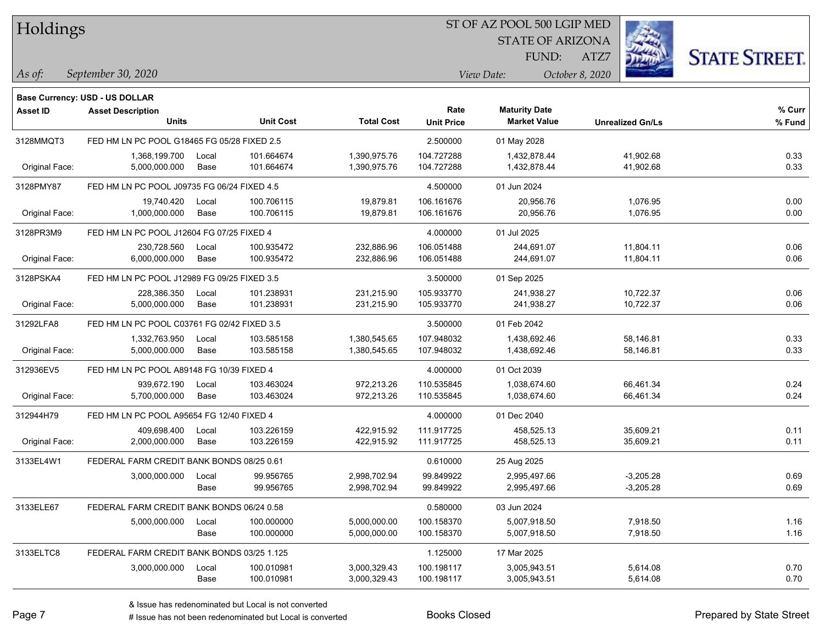| Holdings |
|----------|
|          |

STATE OF ARIZONA

ATZ7



*September 30, 2020 As of: View Date: October 8, 2020*

**Base Currency: USD - US DOLLAR**

FUND:

| <b>Asset ID</b> | <b>Asset Description</b><br><b>Units</b>    |       | <b>Unit Cost</b> | <b>Total Cost</b> | Rate<br><b>Unit Price</b> | <b>Maturity Date</b><br><b>Market Value</b> | <b>Unrealized Gn/Ls</b> | % Curr<br>% Fund |
|-----------------|---------------------------------------------|-------|------------------|-------------------|---------------------------|---------------------------------------------|-------------------------|------------------|
| 3128MMQT3       | FED HM LN PC POOL G18465 FG 05/28 FIXED 2.5 |       |                  |                   | 2.500000                  | 01 May 2028                                 |                         |                  |
|                 | 1,368,199.700                               | Local | 101.664674       | 1,390,975.76      | 104.727288                | 1,432,878.44                                | 41,902.68               | 0.33             |
| Original Face:  | 5,000,000.000                               | Base  | 101.664674       | 1,390,975.76      | 104.727288                | 1,432,878.44                                | 41,902.68               | 0.33             |
| 3128PMY87       | FED HM LN PC POOL J09735 FG 06/24 FIXED 4.5 |       |                  |                   | 4.500000                  | 01 Jun 2024                                 |                         |                  |
|                 | 19,740.420                                  | Local | 100.706115       | 19,879.81         | 106.161676                | 20,956.76                                   | 1,076.95                | 0.00             |
| Original Face:  | 1,000,000.000                               | Base  | 100.706115       | 19,879.81         | 106.161676                | 20,956.76                                   | 1,076.95                | 0.00             |
| 3128PR3M9       | FED HM LN PC POOL J12604 FG 07/25 FIXED 4   |       |                  |                   | 4.000000                  | 01 Jul 2025                                 |                         |                  |
|                 | 230,728.560                                 | Local | 100.935472       | 232,886.96        | 106.051488                | 244,691.07                                  | 11,804.11               | 0.06             |
| Original Face:  | 6,000,000.000                               | Base  | 100.935472       | 232,886.96        | 106.051488                | 244,691.07                                  | 11,804.11               | 0.06             |
| 3128PSKA4       | FED HM LN PC POOL J12989 FG 09/25 FIXED 3.5 |       |                  |                   | 3.500000                  | 01 Sep 2025                                 |                         |                  |
|                 | 228,386.350                                 | Local | 101.238931       | 231,215.90        | 105.933770                | 241,938.27                                  | 10,722.37               | 0.06             |
| Original Face:  | 5,000,000.000                               | Base  | 101.238931       | 231,215.90        | 105.933770                | 241,938.27                                  | 10,722.37               | 0.06             |
| 31292LFA8       | FED HM LN PC POOL C03761 FG 02/42 FIXED 3.5 |       |                  |                   | 3.500000                  | 01 Feb 2042                                 |                         |                  |
|                 | 1,332,763.950                               | Local | 103.585158       | 1,380,545.65      | 107.948032                | 1,438,692.46                                | 58,146.81               | 0.33             |
| Original Face:  | 5,000,000.000                               | Base  | 103.585158       | 1,380,545.65      | 107.948032                | 1,438,692.46                                | 58,146.81               | 0.33             |
| 312936EV5       | FED HM LN PC POOL A89148 FG 10/39 FIXED 4   |       |                  |                   | 4.000000                  | 01 Oct 2039                                 |                         |                  |
|                 | 939,672.190                                 | Local | 103.463024       | 972,213.26        | 110.535845                | 1,038,674.60                                | 66,461.34               | 0.24             |
| Original Face:  | 5,700,000.000                               | Base  | 103.463024       | 972,213.26        | 110.535845                | 1,038,674.60                                | 66,461.34               | 0.24             |
| 312944H79       | FED HM LN PC POOL A95654 FG 12/40 FIXED 4   |       |                  |                   | 4.000000                  | 01 Dec 2040                                 |                         |                  |
|                 | 409.698.400                                 | Local | 103.226159       | 422,915.92        | 111.917725                | 458,525.13                                  | 35,609.21               | 0.11             |
| Original Face:  | 2,000,000.000                               | Base  | 103.226159       | 422,915.92        | 111.917725                | 458,525.13                                  | 35,609.21               | 0.11             |
| 3133EL4W1       | FEDERAL FARM CREDIT BANK BONDS 08/25 0.61   |       |                  |                   | 0.610000                  | 25 Aug 2025                                 |                         |                  |
|                 | 3,000,000.000                               | Local | 99.956765        | 2,998,702.94      | 99.849922                 | 2,995,497.66                                | $-3,205.28$             | 0.69             |
|                 |                                             | Base  | 99.956765        | 2,998,702.94      | 99.849922                 | 2,995,497.66                                | $-3,205.28$             | 0.69             |
| 3133ELE67       | FEDERAL FARM CREDIT BANK BONDS 06/24 0.58   |       |                  |                   | 0.580000                  | 03 Jun 2024                                 |                         |                  |
|                 | 5,000,000.000                               | Local | 100.000000       | 5,000,000.00      | 100.158370                | 5,007,918.50                                | 7,918.50                | 1.16             |
|                 |                                             | Base  | 100.000000       | 5,000,000.00      | 100.158370                | 5,007,918.50                                | 7,918.50                | 1.16             |
| 3133ELTC8       | FEDERAL FARM CREDIT BANK BONDS 03/25 1.125  |       |                  |                   | 1.125000                  | 17 Mar 2025                                 |                         |                  |
|                 | 3,000,000.000                               | Local | 100.010981       | 3,000,329.43      | 100.198117                | 3,005,943.51                                | 5,614.08                | 0.70             |
|                 |                                             | Base  | 100.010981       | 3,000,329.43      | 100.198117                | 3,005,943.51                                | 5,614.08                | 0.70             |

A ISSUE ISSUE ISSUE ISSUE ISSUE ISSUE ISSUE ISSUE ISSUE ISSUE ISSUE ISSUE ISSUE ISSUE ISSUE ISSUE ISSUE ISSUE I<br>
# Issue has not been redenominated but Local is converted **BOOKS** Closed **Prepared by State Street**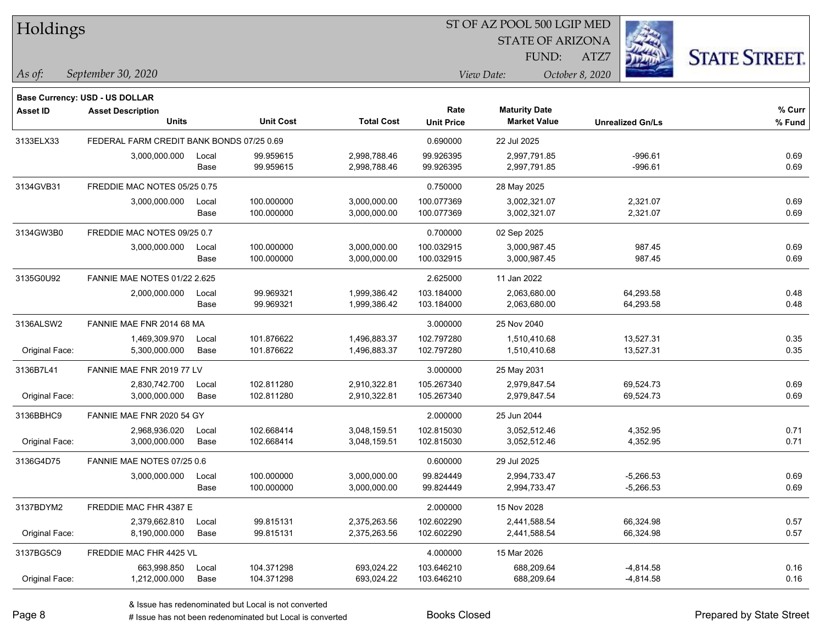| Holdings |
|----------|
|----------|

STATE OF ARIZONA FUND:

ATZ7



*September 30, 2020 As of: View Date: October 8, 2020*

**Base Currency: USD - US DOLLAR**

| <b>Asset ID</b> | <b>Asset Description</b>                  |       |                  |                   | Rate              | <b>Maturity Date</b> |                         | % Curr |
|-----------------|-------------------------------------------|-------|------------------|-------------------|-------------------|----------------------|-------------------------|--------|
|                 | <b>Units</b>                              |       | <b>Unit Cost</b> | <b>Total Cost</b> | <b>Unit Price</b> | <b>Market Value</b>  | <b>Unrealized Gn/Ls</b> | % Fund |
| 3133ELX33       | FEDERAL FARM CREDIT BANK BONDS 07/25 0.69 |       |                  |                   | 0.690000          | 22 Jul 2025          |                         |        |
|                 | 3,000,000.000                             | Local | 99.959615        | 2,998,788.46      | 99.926395         | 2,997,791.85         | $-996.61$               | 0.69   |
|                 |                                           | Base  | 99.959615        | 2,998,788.46      | 99.926395         | 2,997,791.85         | $-996.61$               | 0.69   |
| 3134GVB31       | FREDDIE MAC NOTES 05/25 0.75              |       |                  |                   | 0.750000          | 28 May 2025          |                         |        |
|                 | 3,000,000.000                             | Local | 100.000000       | 3,000,000.00      | 100.077369        | 3,002,321.07         | 2,321.07                | 0.69   |
|                 |                                           | Base  | 100.000000       | 3,000,000.00      | 100.077369        | 3,002,321.07         | 2,321.07                | 0.69   |
| 3134GW3B0       | FREDDIE MAC NOTES 09/25 0.7               |       |                  |                   | 0.700000          | 02 Sep 2025          |                         |        |
|                 | 3,000,000.000                             | Local | 100.000000       | 3,000,000.00      | 100.032915        | 3,000,987.45         | 987.45                  | 0.69   |
|                 |                                           | Base  | 100.000000       | 3,000,000.00      | 100.032915        | 3,000,987.45         | 987.45                  | 0.69   |
| 3135G0U92       | <b>FANNIE MAE NOTES 01/22 2.625</b>       |       |                  |                   | 2.625000          | 11 Jan 2022          |                         |        |
|                 | 2,000,000.000                             | Local | 99.969321        | 1,999,386.42      | 103.184000        | 2,063,680.00         | 64,293.58               | 0.48   |
|                 |                                           | Base  | 99.969321        | 1,999,386.42      | 103.184000        | 2,063,680.00         | 64,293.58               | 0.48   |
| 3136ALSW2       | FANNIE MAE FNR 2014 68 MA                 |       |                  |                   | 3.000000          | 25 Nov 2040          |                         |        |
|                 | 1,469,309.970                             | Local | 101.876622       | 1,496,883.37      | 102.797280        | 1,510,410.68         | 13,527.31               | 0.35   |
| Original Face:  | 5,300,000.000                             | Base  | 101.876622       | 1,496,883.37      | 102.797280        | 1,510,410.68         | 13,527.31               | 0.35   |
| 3136B7L41       | FANNIE MAE FNR 2019 77 LV                 |       |                  |                   | 3.000000          | 25 May 2031          |                         |        |
|                 | 2,830,742.700                             | Local | 102.811280       | 2,910,322.81      | 105.267340        | 2,979,847.54         | 69,524.73               | 0.69   |
| Original Face:  | 3,000,000.000                             | Base  | 102.811280       | 2,910,322.81      | 105.267340        | 2,979,847.54         | 69,524.73               | 0.69   |
| 3136BBHC9       | FANNIE MAE FNR 2020 54 GY                 |       |                  |                   | 2.000000          | 25 Jun 2044          |                         |        |
|                 | 2,968,936.020                             | Local | 102.668414       | 3,048,159.51      | 102.815030        | 3,052,512.46         | 4,352.95                | 0.71   |
| Original Face:  | 3,000,000.000                             | Base  | 102.668414       | 3,048,159.51      | 102.815030        | 3,052,512.46         | 4,352.95                | 0.71   |
| 3136G4D75       | FANNIE MAE NOTES 07/25 0.6                |       |                  |                   | 0.600000          | 29 Jul 2025          |                         |        |
|                 | 3,000,000.000                             | Local | 100.000000       | 3,000,000.00      | 99.824449         | 2,994,733.47         | $-5,266.53$             | 0.69   |
|                 |                                           | Base  | 100.000000       | 3,000,000.00      | 99.824449         | 2,994,733.47         | $-5,266.53$             | 0.69   |
| 3137BDYM2       | FREDDIE MAC FHR 4387 E                    |       |                  |                   | 2.000000          | 15 Nov 2028          |                         |        |
|                 | 2,379,662.810                             | Local | 99.815131        | 2,375,263.56      | 102.602290        | 2,441,588.54         | 66,324.98               | 0.57   |
| Original Face:  | 8,190,000.000                             | Base  | 99.815131        | 2,375,263.56      | 102.602290        | 2,441,588.54         | 66,324.98               | 0.57   |
| 3137BG5C9       | FREDDIE MAC FHR 4425 VL                   |       |                  |                   | 4.000000          | 15 Mar 2026          |                         |        |
|                 | 663,998.850                               | Local | 104.371298       | 693,024.22        | 103.646210        | 688,209.64           | $-4,814.58$             | 0.16   |
| Original Face:  | 1,212,000.000                             | Base  | 104.371298       | 693,024.22        | 103.646210        | 688,209.64           | -4,814.58               | 0.16   |

A ISSUE ISSUE ISSUE ISSUE ISSUE ISSUE ISSUE ISSUE ISSUE ISSUE ISSUE ISSUE ISSUE ISSUE ISSUE ISSUE ISSUE ISSUE I<br>
# Issue has not been redenominated but Local is converted **BOOKS** Closed **Prepared by State Street**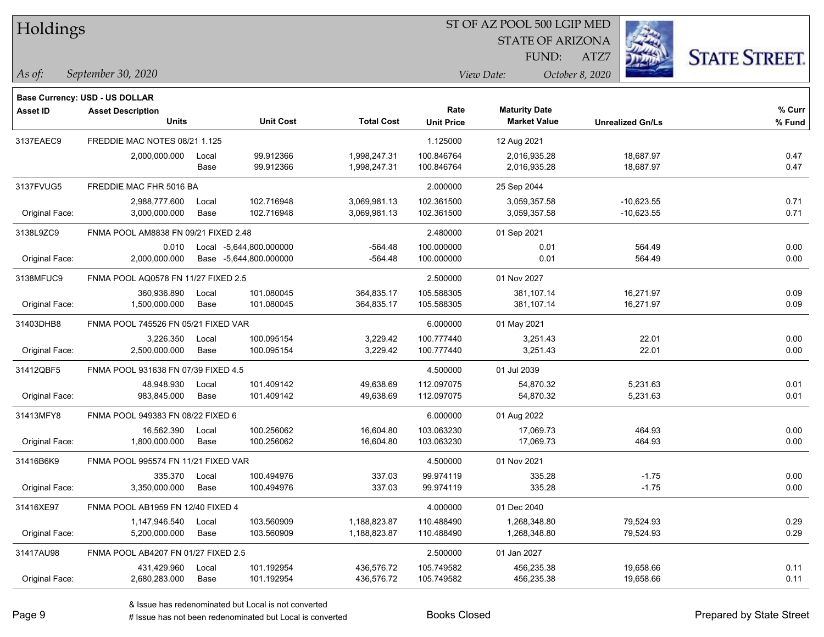| Holdings |  |
|----------|--|
|----------|--|

STATE OF ARIZONA FUND:

ATZ7



*September 30, 2020 As of: View Date: October 8, 2020*

**Base Currency: USD - US DOLLAR**

| Asset ID       | <b>Asset Description</b>             |       |                         |                   | Rate              | <b>Maturity Date</b> |                         | % Curr |
|----------------|--------------------------------------|-------|-------------------------|-------------------|-------------------|----------------------|-------------------------|--------|
|                | <b>Units</b>                         |       | <b>Unit Cost</b>        | <b>Total Cost</b> | <b>Unit Price</b> | <b>Market Value</b>  | <b>Unrealized Gn/Ls</b> | % Fund |
| 3137EAEC9      | FREDDIE MAC NOTES 08/21 1.125        |       |                         |                   | 1.125000          | 12 Aug 2021          |                         |        |
|                | 2,000,000.000                        | Local | 99.912366               | 1,998,247.31      | 100.846764        | 2,016,935.28         | 18,687.97               | 0.47   |
|                |                                      | Base  | 99.912366               | 1,998,247.31      | 100.846764        | 2,016,935.28         | 18,687.97               | 0.47   |
| 3137FVUG5      | FREDDIE MAC FHR 5016 BA              |       |                         |                   | 2.000000          | 25 Sep 2044          |                         |        |
|                | 2,988,777.600                        | Local | 102.716948              | 3,069,981.13      | 102.361500        | 3,059,357.58         | $-10,623.55$            | 0.71   |
| Original Face: | 3,000,000.000                        | Base  | 102.716948              | 3,069,981.13      | 102.361500        | 3,059,357.58         | $-10,623.55$            | 0.71   |
| 3138L9ZC9      | FNMA POOL AM8838 FN 09/21 FIXED 2.48 |       |                         |                   | 2.480000          | 01 Sep 2021          |                         |        |
|                | 0.010                                |       | Local -5,644,800.000000 | $-564.48$         | 100.000000        | 0.01                 | 564.49                  | 0.00   |
| Original Face: | 2,000,000.000                        |       | Base -5,644,800.000000  | $-564.48$         | 100.000000        | 0.01                 | 564.49                  | 0.00   |
| 3138MFUC9      | FNMA POOL AQ0578 FN 11/27 FIXED 2.5  |       |                         |                   | 2.500000          | 01 Nov 2027          |                         |        |
|                | 360,936.890                          | Local | 101.080045              | 364,835.17        | 105.588305        | 381,107.14           | 16,271.97               | 0.09   |
| Original Face: | 1,500,000.000                        | Base  | 101.080045              | 364,835.17        | 105.588305        | 381,107.14           | 16,271.97               | 0.09   |
| 31403DHB8      | FNMA POOL 745526 FN 05/21 FIXED VAR  |       |                         |                   | 6.000000          | 01 May 2021          |                         |        |
|                | 3,226.350                            | Local | 100.095154              | 3,229.42          | 100.777440        | 3,251.43             | 22.01                   | 0.00   |
| Original Face: | 2,500,000.000                        | Base  | 100.095154              | 3,229.42          | 100.777440        | 3,251.43             | 22.01                   | 0.00   |
| 31412QBF5      | FNMA POOL 931638 FN 07/39 FIXED 4.5  |       |                         |                   | 4.500000          | 01 Jul 2039          |                         |        |
|                | 48,948.930                           | Local | 101.409142              | 49,638.69         | 112.097075        | 54,870.32            | 5,231.63                | 0.01   |
| Original Face: | 983,845.000                          | Base  | 101.409142              | 49,638.69         | 112.097075        | 54,870.32            | 5,231.63                | 0.01   |
| 31413MFY8      | FNMA POOL 949383 FN 08/22 FIXED 6    |       |                         |                   | 6.000000          | 01 Aug 2022          |                         |        |
|                | 16,562.390                           | Local | 100.256062              | 16,604.80         | 103.063230        | 17,069.73            | 464.93                  | 0.00   |
| Original Face: | 1.800.000.000                        | Base  | 100.256062              | 16,604.80         | 103.063230        | 17,069.73            | 464.93                  | 0.00   |
| 31416B6K9      | FNMA POOL 995574 FN 11/21 FIXED VAR  |       |                         |                   | 4.500000          | 01 Nov 2021          |                         |        |
|                | 335.370                              | Local | 100.494976              | 337.03            | 99.974119         | 335.28               | $-1.75$                 | 0.00   |
| Original Face: | 3,350,000.000                        | Base  | 100.494976              | 337.03            | 99.974119         | 335.28               | $-1.75$                 | 0.00   |
| 31416XE97      | FNMA POOL AB1959 FN 12/40 FIXED 4    |       |                         |                   | 4.000000          | 01 Dec 2040          |                         |        |
|                | 1,147,946.540                        | Local | 103.560909              | 1,188,823.87      | 110.488490        | 1,268,348.80         | 79,524.93               | 0.29   |
| Original Face: | 5,200,000.000                        | Base  | 103.560909              | 1,188,823.87      | 110.488490        | 1,268,348.80         | 79,524.93               | 0.29   |
| 31417AU98      | FNMA POOL AB4207 FN 01/27 FIXED 2.5  |       |                         |                   | 2.500000          | 01 Jan 2027          |                         |        |
|                | 431,429.960                          | Local | 101.192954              | 436,576.72        | 105.749582        | 456,235.38           | 19,658.66               | 0.11   |
| Original Face: | 2.680.283.000                        | Base  | 101.192954              | 436,576.72        | 105.749582        | 456,235.38           | 19,658.66               | 0.11   |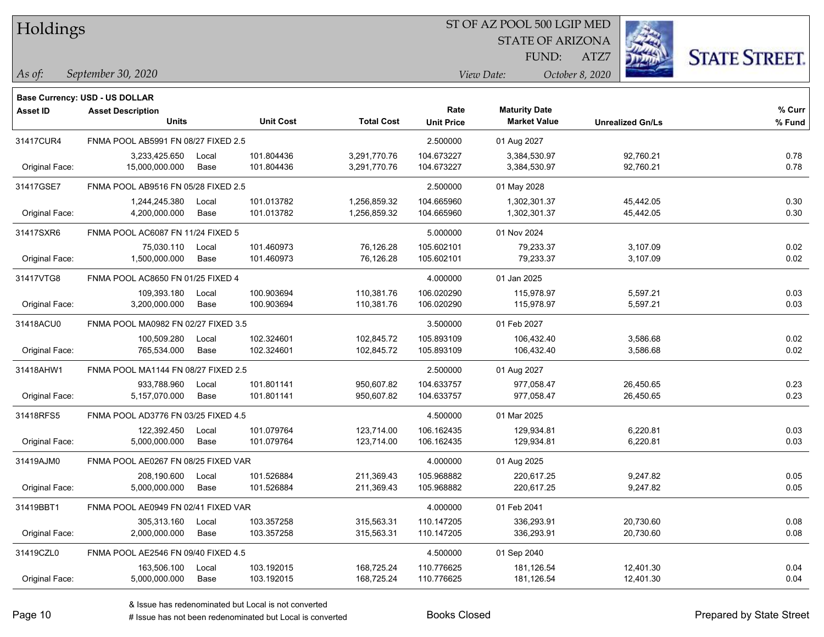| Holdings |
|----------|
|          |

STATE OF ARIZONA FUND:

ATZ7



*September 30, 2020 As of: View Date: October 8, 2020*

**Base Currency: USD - US DOLLAR**

| <b>Asset ID</b> | <b>Asset Description</b>            |       |                  |                   | Rate              | <b>Maturity Date</b> |                         | % Curr |
|-----------------|-------------------------------------|-------|------------------|-------------------|-------------------|----------------------|-------------------------|--------|
|                 | <b>Units</b>                        |       | <b>Unit Cost</b> | <b>Total Cost</b> | <b>Unit Price</b> | <b>Market Value</b>  | <b>Unrealized Gn/Ls</b> | % Fund |
| 31417CUR4       | FNMA POOL AB5991 FN 08/27 FIXED 2.5 |       |                  |                   | 2.500000          | 01 Aug 2027          |                         |        |
|                 | 3,233,425.650                       | Local | 101.804436       | 3,291,770.76      | 104.673227        | 3,384,530.97         | 92,760.21               | 0.78   |
| Original Face:  | 15,000,000.000                      | Base  | 101.804436       | 3,291,770.76      | 104.673227        | 3,384,530.97         | 92,760.21               | 0.78   |
| 31417GSE7       | FNMA POOL AB9516 FN 05/28 FIXED 2.5 |       |                  |                   | 2.500000          | 01 May 2028          |                         |        |
|                 | 1,244,245.380                       | Local | 101.013782       | 1,256,859.32      | 104.665960        | 1,302,301.37         | 45,442.05               | 0.30   |
| Original Face:  | 4,200,000.000                       | Base  | 101.013782       | 1,256,859.32      | 104.665960        | 1,302,301.37         | 45,442.05               | 0.30   |
| 31417SXR6       | FNMA POOL AC6087 FN 11/24 FIXED 5   |       |                  |                   | 5.000000          | 01 Nov 2024          |                         |        |
|                 | 75,030.110                          | Local | 101.460973       | 76,126.28         | 105.602101        | 79,233.37            | 3,107.09                | 0.02   |
| Original Face:  | 1,500,000.000                       | Base  | 101.460973       | 76,126.28         | 105.602101        | 79,233.37            | 3,107.09                | 0.02   |
| 31417VTG8       | FNMA POOL AC8650 FN 01/25 FIXED 4   |       |                  |                   | 4.000000          | 01 Jan 2025          |                         |        |
|                 | 109,393.180                         | Local | 100.903694       | 110,381.76        | 106.020290        | 115,978.97           | 5,597.21                | 0.03   |
| Original Face:  | 3,200,000.000                       | Base  | 100.903694       | 110,381.76        | 106.020290        | 115,978.97           | 5,597.21                | 0.03   |
| 31418ACU0       | FNMA POOL MA0982 FN 02/27 FIXED 3.5 |       |                  |                   | 3.500000          | 01 Feb 2027          |                         |        |
|                 | 100,509.280                         | Local | 102.324601       | 102,845.72        | 105.893109        | 106,432.40           | 3,586.68                | 0.02   |
| Original Face:  | 765,534.000                         | Base  | 102.324601       | 102,845.72        | 105.893109        | 106,432.40           | 3,586.68                | 0.02   |
| 31418AHW1       | FNMA POOL MA1144 FN 08/27 FIXED 2.5 |       |                  |                   | 2.500000          | 01 Aug 2027          |                         |        |
|                 | 933,788.960                         | Local | 101.801141       | 950,607.82        | 104.633757        | 977,058.47           | 26,450.65               | 0.23   |
| Original Face:  | 5,157,070.000                       | Base  | 101.801141       | 950,607.82        | 104.633757        | 977,058.47           | 26,450.65               | 0.23   |
| 31418RFS5       | FNMA POOL AD3776 FN 03/25 FIXED 4.5 |       |                  |                   | 4.500000          | 01 Mar 2025          |                         |        |
|                 | 122,392.450                         | Local | 101.079764       | 123,714.00        | 106.162435        | 129,934.81           | 6,220.81                | 0.03   |
| Original Face:  | 5,000,000.000                       | Base  | 101.079764       | 123,714.00        | 106.162435        | 129,934.81           | 6,220.81                | 0.03   |
| 31419AJM0       | FNMA POOL AE0267 FN 08/25 FIXED VAR |       |                  |                   | 4.000000          | 01 Aug 2025          |                         |        |
|                 | 208,190.600                         | Local | 101.526884       | 211,369.43        | 105.968882        | 220,617.25           | 9,247.82                | 0.05   |
| Original Face:  | 5,000,000.000                       | Base  | 101.526884       | 211,369.43        | 105.968882        | 220,617.25           | 9,247.82                | 0.05   |
| 31419BBT1       | FNMA POOL AE0949 FN 02/41 FIXED VAR |       |                  |                   | 4.000000          | 01 Feb 2041          |                         |        |
|                 | 305,313.160                         | Local | 103.357258       | 315,563.31        | 110.147205        | 336,293.91           | 20,730.60               | 0.08   |
| Original Face:  | 2,000,000.000                       | Base  | 103.357258       | 315,563.31        | 110.147205        | 336,293.91           | 20,730.60               | 0.08   |
| 31419CZL0       | FNMA POOL AE2546 FN 09/40 FIXED 4.5 |       |                  |                   | 4.500000          | 01 Sep 2040          |                         |        |
|                 | 163,506.100                         | Local | 103.192015       | 168,725.24        | 110.776625        | 181,126.54           | 12,401.30               | 0.04   |
| Original Face:  | 5,000,000.000                       | Base  | 103.192015       | 168,725.24        | 110.776625        | 181,126.54           | 12,401.30               | 0.04   |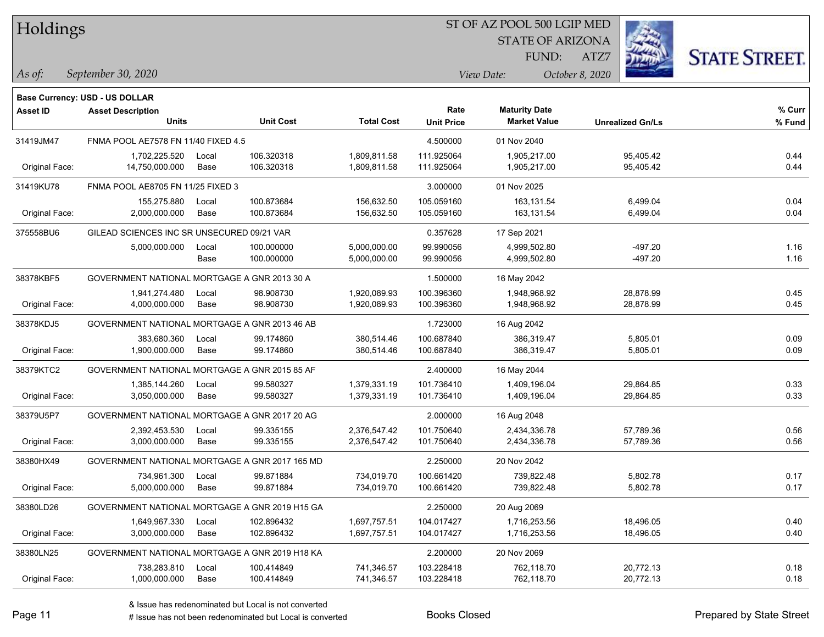Holdings

#### ST OF AZ POOL 500 LGIP MED

STATE OF ARIZONA

ATZ7



*September 30, 2020 As of: View Date: October 8, 2020*

**Base Currency: USD - US DOLLAR**

FUND:

| <b>Asset ID</b> | <b>Asset Description</b>                       |       |                  |                   | Rate              | <b>Maturity Date</b> |                         | % Curr |
|-----------------|------------------------------------------------|-------|------------------|-------------------|-------------------|----------------------|-------------------------|--------|
|                 | <b>Units</b>                                   |       | <b>Unit Cost</b> | <b>Total Cost</b> | <b>Unit Price</b> | <b>Market Value</b>  | <b>Unrealized Gn/Ls</b> | % Fund |
| 31419JM47       | FNMA POOL AE7578 FN 11/40 FIXED 4.5            |       |                  |                   | 4.500000          | 01 Nov 2040          |                         |        |
|                 | 1,702,225.520                                  | Local | 106.320318       | 1,809,811.58      | 111.925064        | 1,905,217.00         | 95,405.42               | 0.44   |
| Original Face:  | 14,750,000.000                                 | Base  | 106.320318       | 1,809,811.58      | 111.925064        | 1,905,217.00         | 95,405.42               | 0.44   |
| 31419KU78       | FNMA POOL AE8705 FN 11/25 FIXED 3              |       |                  |                   | 3.000000          | 01 Nov 2025          |                         |        |
|                 | 155,275.880                                    | Local | 100.873684       | 156,632.50        | 105.059160        | 163.131.54           | 6,499.04                | 0.04   |
| Original Face:  | 2,000,000.000                                  | Base  | 100.873684       | 156,632.50        | 105.059160        | 163,131.54           | 6,499.04                | 0.04   |
| 375558BU6       | GILEAD SCIENCES INC SR UNSECURED 09/21 VAR     |       |                  |                   | 0.357628          | 17 Sep 2021          |                         |        |
|                 | 5,000,000.000                                  | Local | 100.000000       | 5,000,000.00      | 99.990056         | 4,999,502.80         | $-497.20$               | 1.16   |
|                 |                                                | Base  | 100.000000       | 5,000,000.00      | 99.990056         | 4,999,502.80         | $-497.20$               | 1.16   |
| 38378KBF5       | GOVERNMENT NATIONAL MORTGAGE A GNR 2013 30 A   |       |                  |                   | 1.500000          | 16 May 2042          |                         |        |
|                 | 1,941,274.480                                  | Local | 98.908730        | 1,920,089.93      | 100.396360        | 1,948,968.92         | 28,878.99               | 0.45   |
| Original Face:  | 4,000,000.000                                  | Base  | 98.908730        | 1,920,089.93      | 100.396360        | 1,948,968.92         | 28,878.99               | 0.45   |
| 38378KDJ5       | GOVERNMENT NATIONAL MORTGAGE A GNR 2013 46 AB  |       |                  |                   | 1.723000          | 16 Aug 2042          |                         |        |
|                 | 383,680.360                                    | Local | 99.174860        | 380,514.46        | 100.687840        | 386,319.47           | 5,805.01                | 0.09   |
| Original Face:  | 1,900,000.000                                  | Base  | 99.174860        | 380,514.46        | 100.687840        | 386,319.47           | 5,805.01                | 0.09   |
| 38379KTC2       | GOVERNMENT NATIONAL MORTGAGE A GNR 2015 85 AF  |       |                  |                   | 2.400000          | 16 May 2044          |                         |        |
|                 | 1,385,144.260                                  | Local | 99.580327        | 1,379,331.19      | 101.736410        | 1,409,196.04         | 29,864.85               | 0.33   |
| Original Face:  | 3,050,000.000                                  | Base  | 99.580327        | 1,379,331.19      | 101.736410        | 1,409,196.04         | 29,864.85               | 0.33   |
| 38379U5P7       | GOVERNMENT NATIONAL MORTGAGE A GNR 2017 20 AG  |       |                  |                   | 2.000000          | 16 Aug 2048          |                         |        |
|                 | 2,392,453.530                                  | Local | 99.335155        | 2,376,547.42      | 101.750640        | 2,434,336.78         | 57,789.36               | 0.56   |
| Original Face:  | 3,000,000.000                                  | Base  | 99.335155        | 2,376,547.42      | 101.750640        | 2,434,336.78         | 57,789.36               | 0.56   |
| 38380HX49       | GOVERNMENT NATIONAL MORTGAGE A GNR 2017 165 MD |       |                  |                   | 2.250000          | 20 Nov 2042          |                         |        |
|                 | 734,961.300                                    | Local | 99.871884        | 734,019.70        | 100.661420        | 739,822.48           | 5,802.78                | 0.17   |
| Original Face:  | 5,000,000.000                                  | Base  | 99.871884        | 734,019.70        | 100.661420        | 739,822.48           | 5,802.78                | 0.17   |
| 38380LD26       | GOVERNMENT NATIONAL MORTGAGE A GNR 2019 H15 GA |       |                  |                   | 2.250000          | 20 Aug 2069          |                         |        |
|                 | 1,649,967.330                                  | Local | 102.896432       | 1,697,757.51      | 104.017427        | 1,716,253.56         | 18,496.05               | 0.40   |
| Original Face:  | 3,000,000.000                                  | Base  | 102.896432       | 1,697,757.51      | 104.017427        | 1,716,253.56         | 18,496.05               | 0.40   |
| 38380LN25       | GOVERNMENT NATIONAL MORTGAGE A GNR 2019 H18 KA |       |                  |                   | 2.200000          | 20 Nov 2069          |                         |        |
|                 | 738,283.810                                    | Local | 100.414849       | 741,346.57        | 103.228418        | 762,118.70           | 20,772.13               | 0.18   |
| Original Face:  | 1,000,000.000                                  | Base  | 100.414849       | 741,346.57        | 103.228418        | 762,118.70           | 20,772.13               | 0.18   |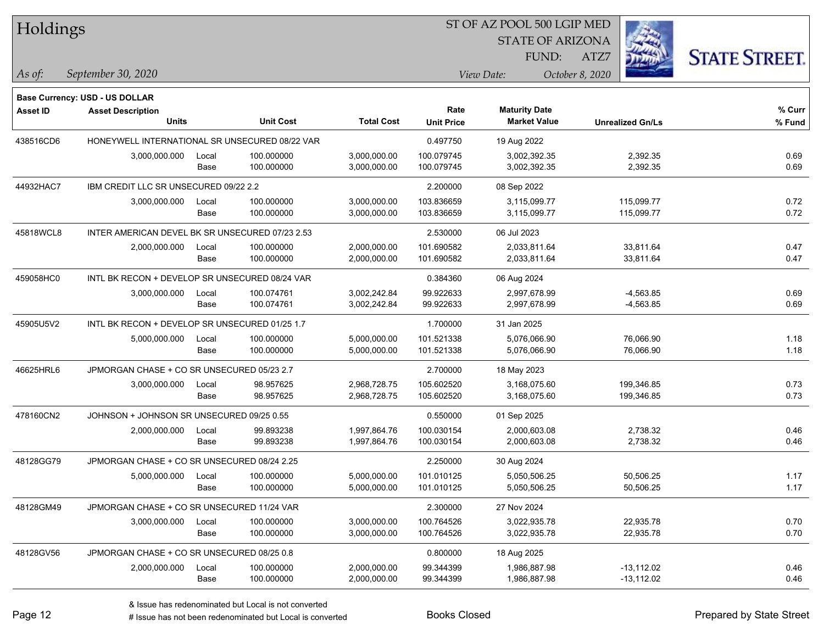| Holdings        |                                                 |       |                  |                   | ST OF AZ POOL 500 LGIP MED |                         |                         |                      |
|-----------------|-------------------------------------------------|-------|------------------|-------------------|----------------------------|-------------------------|-------------------------|----------------------|
|                 |                                                 |       |                  |                   |                            | <b>STATE OF ARIZONA</b> |                         |                      |
|                 |                                                 |       |                  |                   |                            | FUND:                   | ATZ7                    | <b>STATE STREET.</b> |
| As of:          | September 30, 2020                              |       |                  |                   |                            | View Date:              | October 8, 2020         |                      |
|                 | Base Currency: USD - US DOLLAR                  |       |                  |                   |                            |                         |                         |                      |
| <b>Asset ID</b> | <b>Asset Description</b>                        |       |                  |                   | Rate                       | <b>Maturity Date</b>    |                         | % Curr               |
|                 | <b>Units</b>                                    |       | <b>Unit Cost</b> | <b>Total Cost</b> | <b>Unit Price</b>          | <b>Market Value</b>     | <b>Unrealized Gn/Ls</b> | % Fund               |
| 438516CD6       | HONEYWELL INTERNATIONAL SR UNSECURED 08/22 VAR  |       |                  |                   | 0.497750                   | 19 Aug 2022             |                         |                      |
|                 | 3,000,000.000                                   | Local | 100.000000       | 3,000,000.00      | 100.079745                 | 3,002,392.35            | 2,392.35                | 0.69                 |
|                 |                                                 | Base  | 100.000000       | 3,000,000.00      | 100.079745                 | 3,002,392.35            | 2,392.35                | 0.69                 |
| 44932HAC7       | IBM CREDIT LLC SR UNSECURED 09/22 2.2           |       |                  |                   | 2.200000                   | 08 Sep 2022             |                         |                      |
|                 | 3,000,000.000                                   | Local | 100.000000       | 3,000,000.00      | 103.836659                 | 3,115,099.77            | 115,099.77              | 0.72                 |
|                 |                                                 | Base  | 100.000000       | 3,000,000.00      | 103.836659                 | 3,115,099.77            | 115,099.77              | 0.72                 |
| 45818WCL8       | INTER AMERICAN DEVEL BK SR UNSECURED 07/23 2.53 |       |                  |                   | 2.530000                   | 06 Jul 2023             |                         |                      |
|                 | 2,000,000.000                                   | Local | 100.000000       | 2,000,000.00      | 101.690582                 | 2,033,811.64            | 33,811.64               | 0.47                 |
|                 |                                                 | Base  | 100.000000       | 2,000,000.00      | 101.690582                 | 2,033,811.64            | 33,811.64               | 0.47                 |
| 459058HC0       | INTL BK RECON + DEVELOP SR UNSECURED 08/24 VAR  |       |                  |                   | 0.384360                   | 06 Aug 2024             |                         |                      |
|                 | 3,000,000.000                                   | Local | 100.074761       | 3,002,242.84      | 99.922633                  | 2,997,678.99            | $-4,563.85$             | 0.69                 |
|                 |                                                 | Base  | 100.074761       | 3,002,242.84      | 99.922633                  | 2,997,678.99            | $-4,563.85$             | 0.69                 |
| 45905U5V2       | INTL BK RECON + DEVELOP SR UNSECURED 01/25 1.7  |       |                  |                   | 1.700000                   | 31 Jan 2025             |                         |                      |
|                 | 5,000,000.000                                   | Local | 100.000000       | 5,000,000.00      | 101.521338                 | 5,076,066.90            | 76,066.90               | 1.18                 |
|                 |                                                 | Base  | 100.000000       | 5,000,000.00      | 101.521338                 | 5,076,066.90            | 76,066.90               | 1.18                 |
| 46625HRL6       | JPMORGAN CHASE + CO SR UNSECURED 05/23 2.7      |       |                  |                   | 2.700000                   | 18 May 2023             |                         |                      |
|                 | 3,000,000.000                                   | Local | 98.957625        | 2,968,728.75      | 105.602520                 | 3,168,075.60            | 199,346.85              | 0.73                 |
|                 |                                                 | Base  | 98.957625        | 2,968,728.75      | 105.602520                 | 3,168,075.60            | 199,346.85              | 0.73                 |
| 478160CN2       | JOHNSON + JOHNSON SR UNSECURED 09/25 0.55       |       |                  |                   | 0.550000                   | 01 Sep 2025             |                         |                      |
|                 | 2,000,000.000                                   | Local | 99.893238        | 1,997,864.76      | 100.030154                 | 2,000,603.08            | 2,738.32                | 0.46                 |
|                 |                                                 | Base  | 99.893238        | 1,997,864.76      | 100.030154                 | 2,000,603.08            | 2,738.32                | 0.46                 |
| 48128GG79       | JPMORGAN CHASE + CO SR UNSECURED 08/24 2.25     |       |                  |                   | 2.250000                   | 30 Aug 2024             |                         |                      |
|                 | 5,000,000.000                                   | Local | 100.000000       | 5,000,000.00      | 101.010125                 | 5.050.506.25            | 50,506.25               | 1.17                 |
|                 |                                                 | Base  | 100.000000       | 5,000,000.00      | 101.010125                 | 5,050,506.25            | 50,506.25               | 1.17                 |
| 48128GM49       | JPMORGAN CHASE + CO SR UNSECURED 11/24 VAR      |       |                  |                   | 2.300000                   | 27 Nov 2024             |                         |                      |
|                 | 3,000,000.000                                   | Local | 100.000000       | 3,000,000.00      | 100.764526                 | 3,022,935.78            | 22,935.78               | 0.70                 |
|                 |                                                 | Base  | 100.000000       | 3,000,000.00      | 100.764526                 | 3,022,935.78            | 22,935.78               | 0.70                 |
| 48128GV56       | JPMORGAN CHASE + CO SR UNSECURED 08/25 0.8      |       |                  |                   | 0.800000                   | 18 Aug 2025             |                         |                      |
|                 | 2,000,000.000                                   | Local | 100.000000       | 2,000,000.00      | 99.344399                  | 1,986,887.98            | $-13,112.02$            | 0.46                 |
|                 |                                                 | Base  | 100.000000       | 2,000,000.00      | 99.344399                  | 1,986,887.98            | $-13,112.02$            | 0.46                 |

 $\overline{\phantom{0}}$ 

 $\overline{\phantom{0}}$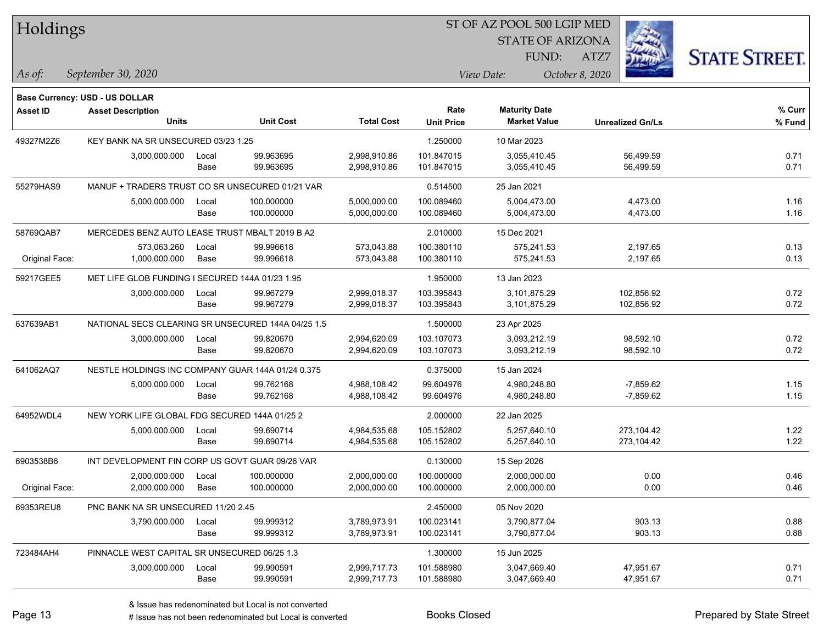| Holdings        |                                                    |       |                  |                   |                           | ST OF AZ POOL 500 LGIP MED                  |                         |                      |  |  |
|-----------------|----------------------------------------------------|-------|------------------|-------------------|---------------------------|---------------------------------------------|-------------------------|----------------------|--|--|
|                 |                                                    |       |                  |                   |                           | <b>STATE OF ARIZONA</b>                     |                         |                      |  |  |
|                 |                                                    |       |                  |                   |                           | FUND:                                       | ATZ7                    | <b>STATE STREET.</b> |  |  |
| As of:          | September 30, 2020                                 |       |                  |                   |                           | View Date:                                  | October 8, 2020         |                      |  |  |
|                 |                                                    |       |                  |                   |                           |                                             |                         |                      |  |  |
|                 | <b>Base Currency: USD - US DOLLAR</b>              |       |                  |                   |                           |                                             |                         |                      |  |  |
| <b>Asset ID</b> | <b>Asset Description</b><br><b>Units</b>           |       | <b>Unit Cost</b> | <b>Total Cost</b> | Rate<br><b>Unit Price</b> | <b>Maturity Date</b><br><b>Market Value</b> | <b>Unrealized Gn/Ls</b> | $%$ Curr<br>% Fund   |  |  |
| 49327M2Z6       | KEY BANK NA SR UNSECURED 03/23 1.25                |       |                  |                   | 1.250000                  | 10 Mar 2023                                 |                         |                      |  |  |
|                 | 3,000,000.000                                      | Local | 99.963695        | 2,998,910.86      | 101.847015                | 3,055,410.45                                | 56,499.59               | 0.71                 |  |  |
|                 |                                                    | Base  | 99.963695        | 2,998,910.86      | 101.847015                | 3,055,410.45                                | 56,499.59               | 0.71                 |  |  |
| 55279HAS9       | MANUF + TRADERS TRUST CO SR UNSECURED 01/21 VAR    |       |                  |                   | 0.514500                  | 25 Jan 2021                                 |                         |                      |  |  |
|                 | 5,000,000.000                                      | Local | 100.000000       | 5,000,000.00      | 100.089460                | 5,004,473.00                                | 4,473.00                | 1.16                 |  |  |
|                 |                                                    | Base  | 100.000000       | 5,000,000.00      | 100.089460                | 5,004,473.00                                | 4,473.00                | 1.16                 |  |  |
| 58769QAB7       | MERCEDES BENZ AUTO LEASE TRUST MBALT 2019 B A2     |       |                  |                   | 2.010000                  | 15 Dec 2021                                 |                         |                      |  |  |
|                 | 573,063.260                                        | Local | 99.996618        | 573,043.88        | 100.380110                | 575,241.53                                  | 2,197.65                | 0.13                 |  |  |
| Original Face:  | 1,000,000.000                                      | Base  | 99.996618        | 573,043.88        | 100.380110                | 575,241.53                                  | 2,197.65                | 0.13                 |  |  |
| 59217GEE5       | MET LIFE GLOB FUNDING I SECURED 144A 01/23 1.95    |       |                  |                   | 1.950000                  | 13 Jan 2023                                 |                         |                      |  |  |
|                 | 3,000,000.000                                      | Local | 99.967279        | 2,999,018.37      | 103.395843                | 3,101,875.29                                | 102,856.92              | 0.72                 |  |  |
|                 |                                                    | Base  | 99.967279        | 2,999,018.37      | 103.395843                | 3,101,875.29                                | 102,856.92              | 0.72                 |  |  |
| 637639AB1       | NATIONAL SECS CLEARING SR UNSECURED 144A 04/25 1.5 |       |                  |                   | 1.500000                  | 23 Apr 2025                                 |                         |                      |  |  |
|                 | 3,000,000.000                                      | Local | 99.820670        | 2,994,620.09      | 103.107073                | 3,093,212.19                                | 98,592.10               | 0.72                 |  |  |
|                 |                                                    | Base  | 99.820670        | 2,994,620.09      | 103.107073                | 3,093,212.19                                | 98,592.10               | 0.72                 |  |  |
| 641062AQ7       | NESTLE HOLDINGS INC COMPANY GUAR 144A 01/24 0.375  |       |                  |                   | 0.375000                  | 15 Jan 2024                                 |                         |                      |  |  |
|                 | 5,000,000.000                                      | Local | 99.762168        | 4,988,108.42      | 99.604976                 | 4,980,248.80                                | $-7,859.62$             | 1.15                 |  |  |
|                 |                                                    | Base  | 99.762168        | 4,988,108.42      | 99.604976                 | 4,980,248.80                                | $-7,859.62$             | 1.15                 |  |  |
| 64952WDL4       | NEW YORK LIFE GLOBAL FDG SECURED 144A 01/25 2      |       |                  |                   | 2.000000                  | 22 Jan 2025                                 |                         |                      |  |  |
|                 | 5,000,000.000                                      | Local | 99.690714        | 4,984,535.68      | 105.152802                | 5,257,640.10                                | 273,104.42              | 1.22                 |  |  |
|                 |                                                    | Base  | 99.690714        | 4,984,535.68      | 105.152802                | 5,257,640.10                                | 273,104.42              | 1.22                 |  |  |
| 6903538B6       | INT DEVELOPMENT FIN CORP US GOVT GUAR 09/26 VAR    |       |                  |                   | 0.130000                  | 15 Sep 2026                                 |                         |                      |  |  |
|                 | 2,000,000.000                                      | Local | 100.000000       | 2,000,000.00      | 100.000000                | 2,000,000.00                                | 0.00                    | 0.46                 |  |  |
| Original Face:  | 2,000,000.000                                      | Base  | 100.000000       | 2,000,000.00      | 100.000000                | 2,000,000.00                                | 0.00                    | 0.46                 |  |  |
| 69353REU8       | PNC BANK NA SR UNSECURED 11/20 2.45                |       |                  |                   | 2.450000                  | 05 Nov 2020                                 |                         |                      |  |  |
|                 | 3,790,000.000                                      | Local | 99.999312        | 3,789,973.91      | 100.023141                | 3,790,877.04                                | 903.13                  | 0.88                 |  |  |
|                 |                                                    | Base  | 99.999312        | 3,789,973.91      | 100.023141                | 3,790,877.04                                | 903.13                  | 0.88                 |  |  |
| 723484AH4       | PINNACLE WEST CAPITAL SR UNSECURED 06/25 1.3       |       |                  |                   | 1.300000                  | 15 Jun 2025                                 |                         |                      |  |  |
|                 | 3,000,000.000                                      | Local | 99.990591        | 2,999,717.73      | 101.588980                | 3,047,669.40                                | 47,951.67               | 0.71                 |  |  |
|                 |                                                    | Base  | 99.990591        | 2,999,717.73      | 101.588980                | 3,047,669.40                                | 47,951.67               | 0.71                 |  |  |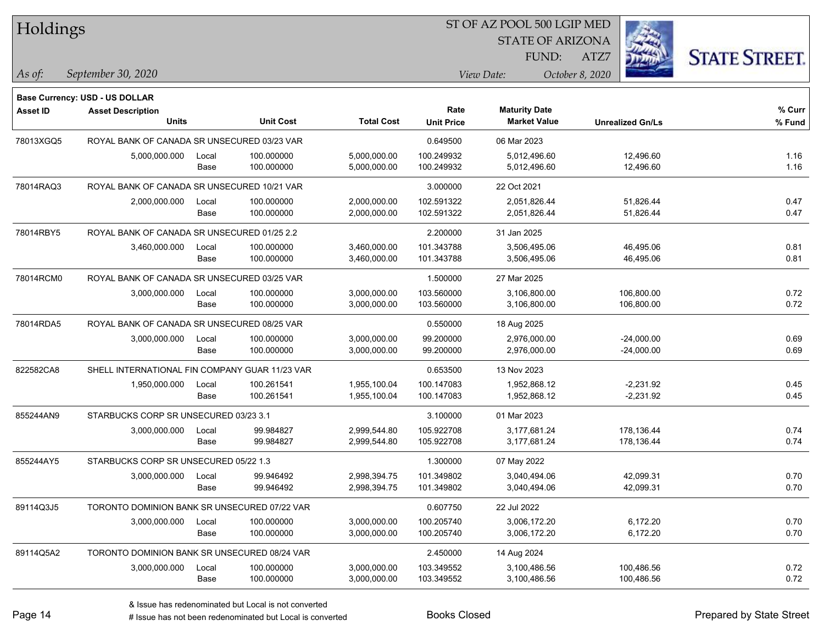| Holdings        |                                                |       |                  |                   |                   | ST OF AZ POOL 500 LGIP MED |                         |                      |
|-----------------|------------------------------------------------|-------|------------------|-------------------|-------------------|----------------------------|-------------------------|----------------------|
|                 |                                                |       |                  |                   |                   | <b>STATE OF ARIZONA</b>    |                         |                      |
|                 |                                                |       |                  |                   |                   | FUND:                      | ATZ7                    | <b>STATE STREET.</b> |
| As of:          | September 30, 2020                             |       |                  |                   |                   | View Date:                 | October 8, 2020         |                      |
|                 | <b>Base Currency: USD - US DOLLAR</b>          |       |                  |                   |                   |                            |                         |                      |
| <b>Asset ID</b> | <b>Asset Description</b>                       |       |                  |                   | Rate              | <b>Maturity Date</b>       |                         | % Curr               |
|                 | <b>Units</b>                                   |       | <b>Unit Cost</b> | <b>Total Cost</b> | <b>Unit Price</b> | <b>Market Value</b>        | <b>Unrealized Gn/Ls</b> | % Fund               |
| 78013XGQ5       | ROYAL BANK OF CANADA SR UNSECURED 03/23 VAR    |       |                  |                   | 0.649500          | 06 Mar 2023                |                         |                      |
|                 | 5,000,000.000                                  | Local | 100.000000       | 5,000,000.00      | 100.249932        | 5,012,496.60               | 12,496.60               | 1.16                 |
|                 |                                                | Base  | 100.000000       | 5,000,000.00      | 100.249932        | 5,012,496.60               | 12,496.60               | 1.16                 |
| 78014RAQ3       | ROYAL BANK OF CANADA SR UNSECURED 10/21 VAR    |       |                  |                   | 3.000000          | 22 Oct 2021                |                         |                      |
|                 | 2,000,000.000                                  | Local | 100.000000       | 2,000,000.00      | 102.591322        | 2,051,826.44               | 51,826.44               | 0.47                 |
|                 |                                                | Base  | 100.000000       | 2,000,000.00      | 102.591322        | 2,051,826.44               | 51,826.44               | 0.47                 |
| 78014RBY5       | ROYAL BANK OF CANADA SR UNSECURED 01/25 2.2    |       |                  |                   | 2.200000          | 31 Jan 2025                |                         |                      |
|                 | 3,460,000.000                                  | Local | 100.000000       | 3,460,000.00      | 101.343788        | 3,506,495.06               | 46,495.06               | 0.81                 |
|                 |                                                | Base  | 100.000000       | 3,460,000.00      | 101.343788        | 3,506,495.06               | 46,495.06               | 0.81                 |
| 78014RCM0       | ROYAL BANK OF CANADA SR UNSECURED 03/25 VAR    |       |                  |                   | 1.500000          | 27 Mar 2025                |                         |                      |
|                 | 3,000,000.000                                  | Local | 100.000000       | 3,000,000.00      | 103.560000        | 3,106,800.00               | 106,800.00              | 0.72                 |
|                 |                                                | Base  | 100.000000       | 3,000,000.00      | 103.560000        | 3,106,800.00               | 106,800.00              | 0.72                 |
| 78014RDA5       | ROYAL BANK OF CANADA SR UNSECURED 08/25 VAR    |       |                  |                   | 0.550000          | 18 Aug 2025                |                         |                      |
|                 | 3,000,000.000                                  | Local | 100.000000       | 3,000,000.00      | 99.200000         | 2,976,000.00               | $-24,000.00$            | 0.69                 |
|                 |                                                | Base  | 100.000000       | 3,000,000.00      | 99.200000         | 2,976,000.00               | $-24,000.00$            | 0.69                 |
| 822582CA8       | SHELL INTERNATIONAL FIN COMPANY GUAR 11/23 VAR |       |                  |                   | 0.653500          | 13 Nov 2023                |                         |                      |
|                 | 1,950,000.000                                  | Local | 100.261541       | 1,955,100.04      | 100.147083        | 1,952,868.12               | $-2,231.92$             | 0.45                 |
|                 |                                                | Base  | 100.261541       | 1,955,100.04      | 100.147083        | 1,952,868.12               | $-2,231.92$             | 0.45                 |
| 855244AN9       | STARBUCKS CORP SR UNSECURED 03/23 3.1          |       |                  |                   | 3.100000          | 01 Mar 2023                |                         |                      |
|                 | 3,000,000.000                                  | Local | 99.984827        | 2,999,544.80      | 105.922708        | 3,177,681.24               | 178,136.44              | 0.74                 |
|                 |                                                | Base  | 99.984827        | 2,999,544.80      | 105.922708        | 3,177,681.24               | 178,136.44              | 0.74                 |
| 855244AY5       | STARBUCKS CORP SR UNSECURED 05/22 1.3          |       |                  |                   | 1.300000          | 07 May 2022                |                         |                      |
|                 | 3,000,000.000                                  | Local | 99.946492        | 2,998,394.75      | 101.349802        | 3,040,494.06               | 42,099.31               | 0.70                 |
|                 |                                                | Base  | 99.946492        | 2,998,394.75      | 101.349802        | 3,040,494.06               | 42,099.31               | 0.70                 |
| 89114Q3J5       | TORONTO DOMINION BANK SR UNSECURED 07/22 VAR   |       |                  |                   | 0.607750          | 22 Jul 2022                |                         |                      |
|                 | 3,000,000.000                                  | Local | 100.000000       | 3,000,000.00      | 100.205740        | 3,006,172.20               | 6,172.20                | 0.70                 |
|                 |                                                | Base  | 100.000000       | 3,000,000.00      | 100.205740        | 3,006,172.20               | 6,172.20                | 0.70                 |
| 89114Q5A2       | TORONTO DOMINION BANK SR UNSECURED 08/24 VAR   |       |                  |                   | 2.450000          | 14 Aug 2024                |                         |                      |
|                 | 3,000,000.000                                  | Local | 100.000000       | 3,000,000.00      | 103.349552        | 3,100,486.56               | 100,486.56              | 0.72                 |
|                 |                                                | Base  | 100.000000       | 3,000,000.00      | 103.349552        | 3,100,486.56               | 100,486.56              | 0.72                 |

# Issue has not been redenominated but Local is converted Books Closed Prepared by State Street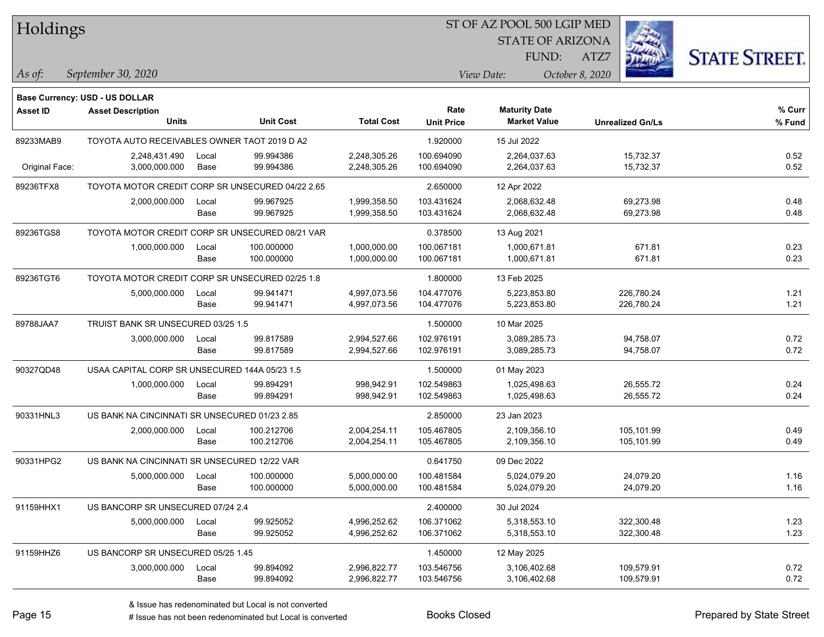| Holdings        |                                                  |       |                  |                   |                           | ST OF AZ POOL 500 LGIP MED                  |                         |                      |
|-----------------|--------------------------------------------------|-------|------------------|-------------------|---------------------------|---------------------------------------------|-------------------------|----------------------|
|                 |                                                  |       |                  |                   |                           | <b>STATE OF ARIZONA</b>                     |                         |                      |
|                 |                                                  |       |                  |                   |                           | FUND:                                       | ATZ7                    | <b>STATE STREET.</b> |
| $\vert$ As of:  | September 30, 2020                               |       |                  |                   |                           | View Date:                                  | October 8, 2020         |                      |
|                 |                                                  |       |                  |                   |                           |                                             |                         |                      |
|                 | <b>Base Currency: USD - US DOLLAR</b>            |       |                  |                   |                           |                                             |                         |                      |
| <b>Asset ID</b> | <b>Asset Description</b><br><b>Units</b>         |       | <b>Unit Cost</b> | <b>Total Cost</b> | Rate<br><b>Unit Price</b> | <b>Maturity Date</b><br><b>Market Value</b> |                         | % Curr               |
|                 |                                                  |       |                  |                   |                           |                                             | <b>Unrealized Gn/Ls</b> | % Fund               |
| 89233MAB9       | TOYOTA AUTO RECEIVABLES OWNER TAOT 2019 D A2     |       |                  |                   | 1.920000                  | 15 Jul 2022                                 |                         |                      |
|                 | 2,248,431.490                                    | Local | 99.994386        | 2,248,305.26      | 100.694090                | 2,264,037.63                                | 15,732.37               | 0.52                 |
| Original Face:  | 3,000,000.000                                    | Base  | 99.994386        | 2,248,305.26      | 100.694090                | 2,264,037.63                                | 15,732.37               | 0.52                 |
| 89236TFX8       | TOYOTA MOTOR CREDIT CORP SR UNSECURED 04/22 2.65 |       |                  |                   | 2.650000                  | 12 Apr 2022                                 |                         |                      |
|                 | 2,000,000.000                                    | Local | 99.967925        | 1,999,358.50      | 103.431624                | 2,068,632.48                                | 69,273.98               | 0.48                 |
|                 |                                                  | Base  | 99.967925        | 1,999,358.50      | 103.431624                | 2,068,632.48                                | 69,273.98               | 0.48                 |
| 89236TGS8       | TOYOTA MOTOR CREDIT CORP SR UNSECURED 08/21 VAR  |       |                  |                   | 0.378500                  | 13 Aug 2021                                 |                         |                      |
|                 | 1,000,000.000                                    | Local | 100.000000       | 1,000,000.00      | 100.067181                | 1,000,671.81                                | 671.81                  | 0.23                 |
|                 |                                                  | Base  | 100.000000       | 1,000,000.00      | 100.067181                | 1,000,671.81                                | 671.81                  | 0.23                 |
| 89236TGT6       | TOYOTA MOTOR CREDIT CORP SR UNSECURED 02/25 1.8  |       |                  |                   | 1.800000                  | 13 Feb 2025                                 |                         |                      |
|                 | 5,000,000.000                                    | Local | 99.941471        | 4,997,073.56      | 104.477076                | 5,223,853.80                                | 226,780.24              | 1.21                 |
|                 |                                                  | Base  | 99.941471        | 4,997,073.56      | 104.477076                | 5,223,853.80                                | 226,780.24              | 1.21                 |
| 89788JAA7       | TRUIST BANK SR UNSECURED 03/25 1.5               |       |                  |                   | 1.500000                  | 10 Mar 2025                                 |                         |                      |
|                 | 3,000,000.000                                    | Local | 99.817589        | 2,994,527.66      | 102.976191                | 3,089,285.73                                | 94,758.07               | 0.72                 |
|                 |                                                  | Base  | 99.817589        | 2,994,527.66      | 102.976191                | 3,089,285.73                                | 94,758.07               | 0.72                 |
| 90327QD48       | USAA CAPITAL CORP SR UNSECURED 144A 05/23 1.5    |       |                  |                   | 1.500000                  | 01 May 2023                                 |                         |                      |
|                 | 1,000,000.000                                    | Local | 99.894291        | 998,942.91        | 102.549863                | 1,025,498.63                                | 26,555.72               | 0.24                 |
|                 |                                                  | Base  | 99.894291        | 998,942.91        | 102.549863                | 1,025,498.63                                | 26,555.72               | 0.24                 |
| 90331HNL3       | US BANK NA CINCINNATI SR UNSECURED 01/23 2.85    |       |                  |                   | 2.850000                  | 23 Jan 2023                                 |                         |                      |
|                 | 2,000,000.000                                    | Local | 100.212706       | 2,004,254.11      | 105.467805                | 2,109,356.10                                | 105,101.99              | 0.49                 |
|                 |                                                  | Base  | 100.212706       | 2,004,254.11      | 105.467805                | 2,109,356.10                                | 105,101.99              | 0.49                 |
| 90331HPG2       | US BANK NA CINCINNATI SR UNSECURED 12/22 VAR     |       |                  |                   | 0.641750                  | 09 Dec 2022                                 |                         |                      |
|                 | 5,000,000.000                                    | Local | 100.000000       | 5,000,000.00      | 100.481584                | 5,024,079.20                                | 24,079.20               | 1.16                 |
|                 |                                                  | Base  | 100.000000       | 5,000,000.00      | 100.481584                | 5,024,079.20                                | 24,079.20               | 1.16                 |
| 91159HHX1       | US BANCORP SR UNSECURED 07/24 2.4                |       |                  |                   | 2.400000                  | 30 Jul 2024                                 |                         |                      |
|                 | 5,000,000.000                                    | Local | 99.925052        | 4,996,252.62      | 106.371062                | 5,318,553.10                                | 322,300.48              | 1.23                 |
|                 |                                                  | Base  | 99.925052        | 4,996,252.62      | 106.371062                | 5,318,553.10                                | 322,300.48              | 1.23                 |
| 91159HHZ6       | US BANCORP SR UNSECURED 05/25 1.45               |       |                  |                   | 1.450000                  | 12 May 2025                                 |                         |                      |
|                 | 3,000,000.000                                    | Local | 99.894092        | 2,996,822.77      | 103.546756                | 3,106,402.68                                | 109,579.91              | 0.72                 |
|                 |                                                  | Base  | 99.894092        | 2,996,822.77      | 103.546756                | 3,106,402.68                                | 109,579.91              | 0.72                 |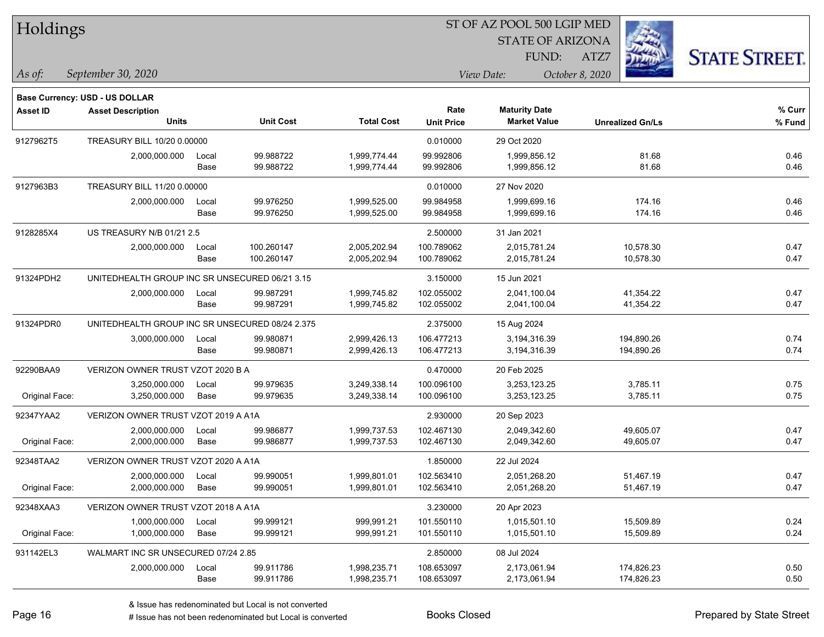| Holdings        |                                                 |       |                  |                   |                   | ST OF AZ POOL 500 LGIP MED |                         |                      |
|-----------------|-------------------------------------------------|-------|------------------|-------------------|-------------------|----------------------------|-------------------------|----------------------|
|                 |                                                 |       |                  |                   |                   | <b>STATE OF ARIZONA</b>    |                         |                      |
|                 |                                                 |       |                  |                   |                   | FUND:                      | ATZ7                    | <b>STATE STREET.</b> |
| As of:          | September 30, 2020                              |       |                  |                   |                   | View Date:                 | October 8, 2020         |                      |
|                 | <b>Base Currency: USD - US DOLLAR</b>           |       |                  |                   |                   |                            |                         |                      |
| <b>Asset ID</b> | <b>Asset Description</b>                        |       |                  |                   | Rate              | <b>Maturity Date</b>       |                         | % Curr               |
|                 | <b>Units</b>                                    |       | <b>Unit Cost</b> | <b>Total Cost</b> | <b>Unit Price</b> | <b>Market Value</b>        | <b>Unrealized Gn/Ls</b> | % Fund               |
| 9127962T5       | TREASURY BILL 10/20 0.00000                     |       |                  |                   | 0.010000          | 29 Oct 2020                |                         |                      |
|                 | 2,000,000.000                                   | Local | 99.988722        | 1,999,774.44      | 99.992806         | 1,999,856.12               | 81.68                   | 0.46                 |
|                 |                                                 | Base  | 99.988722        | 1,999,774.44      | 99.992806         | 1,999,856.12               | 81.68                   | 0.46                 |
| 9127963B3       | TREASURY BILL 11/20 0.00000                     |       |                  |                   | 0.010000          | 27 Nov 2020                |                         |                      |
|                 | 2,000,000.000                                   | Local | 99.976250        | 1,999,525.00      | 99.984958         | 1,999,699.16               | 174.16                  | 0.46                 |
|                 |                                                 | Base  | 99.976250        | 1,999,525.00      | 99.984958         | 1,999,699.16               | 174.16                  | 0.46                 |
| 9128285X4       | US TREASURY N/B 01/21 2.5                       |       |                  |                   | 2.500000          | 31 Jan 2021                |                         |                      |
|                 | 2,000,000.000                                   | Local | 100.260147       | 2,005,202.94      | 100.789062        | 2,015,781.24               | 10,578.30               | 0.47                 |
|                 |                                                 | Base  | 100.260147       | 2,005,202.94      | 100.789062        | 2,015,781.24               | 10,578.30               | 0.47                 |
| 91324PDH2       | UNITEDHEALTH GROUP INC SR UNSECURED 06/21 3.15  |       |                  |                   | 3.150000          | 15 Jun 2021                |                         |                      |
|                 | 2,000,000.000                                   | Local | 99.987291        | 1,999,745.82      | 102.055002        | 2,041,100.04               | 41,354.22               | 0.47                 |
|                 |                                                 | Base  | 99.987291        | 1,999,745.82      | 102.055002        | 2,041,100.04               | 41,354.22               | 0.47                 |
| 91324PDR0       | UNITEDHEALTH GROUP INC SR UNSECURED 08/24 2.375 |       |                  |                   | 2.375000          | 15 Aug 2024                |                         |                      |
|                 | 3,000,000.000                                   | Local | 99.980871        | 2,999,426.13      | 106.477213        | 3,194,316.39               | 194,890.26              | 0.74                 |
|                 |                                                 | Base  | 99.980871        | 2,999,426.13      | 106.477213        | 3,194,316.39               | 194,890.26              | 0.74                 |
| 92290BAA9       | VERIZON OWNER TRUST VZOT 2020 B A               |       |                  |                   | 0.470000          | 20 Feb 2025                |                         |                      |
|                 | 3,250,000.000                                   | Local | 99.979635        | 3,249,338.14      | 100.096100        | 3,253,123.25               | 3,785.11                | 0.75                 |
| Original Face:  | 3,250,000.000                                   | Base  | 99.979635        | 3,249,338.14      | 100.096100        | 3,253,123.25               | 3,785.11                | 0.75                 |
| 92347YAA2       | VERIZON OWNER TRUST VZOT 2019 A A1A             |       |                  |                   | 2.930000          | 20 Sep 2023                |                         |                      |
|                 | 2,000,000.000                                   | Local | 99.986877        | 1,999,737.53      | 102.467130        | 2,049,342.60               | 49,605.07               | 0.47                 |
| Original Face:  | 2,000,000.000                                   | Base  | 99.986877        | 1,999,737.53      | 102.467130        | 2,049,342.60               | 49,605.07               | 0.47                 |
| 92348TAA2       | VERIZON OWNER TRUST VZOT 2020 A A1A             |       |                  |                   | 1.850000          | 22 Jul 2024                |                         |                      |
|                 | 2,000,000.000                                   | Local | 99.990051        | 1,999,801.01      | 102.563410        | 2,051,268.20               | 51,467.19               | 0.47                 |
| Original Face:  | 2,000,000.000                                   | Base  | 99.990051        | 1,999,801.01      | 102.563410        | 2,051,268.20               | 51,467.19               | 0.47                 |
| 92348XAA3       | VERIZON OWNER TRUST VZOT 2018 A A1A             |       |                  |                   | 3.230000          | 20 Apr 2023                |                         |                      |
|                 | 1,000,000.000                                   | Local | 99.999121        | 999,991.21        | 101.550110        | 1,015,501.10               | 15,509.89               | 0.24                 |
| Original Face:  | 1,000,000.000                                   | Base  | 99.999121        | 999,991.21        | 101.550110        | 1,015,501.10               | 15,509.89               | 0.24                 |
| 931142EL3       | WALMART INC SR UNSECURED 07/24 2.85             |       |                  |                   | 2.850000          | 08 Jul 2024                |                         |                      |
|                 | 2,000,000.000                                   | Local | 99.911786        | 1,998,235.71      | 108.653097        | 2,173,061.94               | 174,826.23              | 0.50                 |
|                 |                                                 | Base  | 99.911786        | 1,998,235.71      | 108.653097        | 2,173,061.94               | 174,826.23              | 0.50                 |

 $\overline{\phantom{0}}$ 

÷.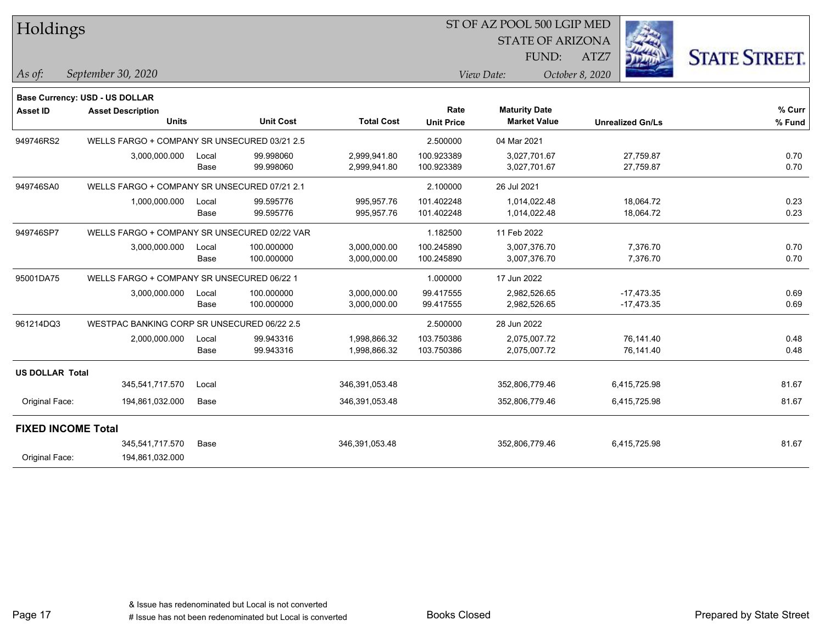| Holdings                  |                                              |       |                  |                   |                   | ST OF AZ POOL 500 LGIP MED |                 |                         |                      |
|---------------------------|----------------------------------------------|-------|------------------|-------------------|-------------------|----------------------------|-----------------|-------------------------|----------------------|
|                           |                                              |       |                  |                   |                   | <b>STATE OF ARIZONA</b>    |                 |                         |                      |
|                           |                                              |       |                  |                   |                   | FUND:                      | ATZ7            |                         | <b>STATE STREET.</b> |
| As of:                    | September 30, 2020                           |       |                  |                   |                   | View Date:                 | October 8, 2020 |                         |                      |
|                           | Base Currency: USD - US DOLLAR               |       |                  |                   |                   |                            |                 |                         |                      |
| <b>Asset ID</b>           | <b>Asset Description</b>                     |       |                  |                   | Rate              | <b>Maturity Date</b>       |                 |                         | % Curr               |
|                           | <b>Units</b>                                 |       | <b>Unit Cost</b> | <b>Total Cost</b> | <b>Unit Price</b> | <b>Market Value</b>        |                 | <b>Unrealized Gn/Ls</b> | % Fund               |
| 949746RS2                 | WELLS FARGO + COMPANY SR UNSECURED 03/21 2.5 |       |                  |                   | 2.500000          | 04 Mar 2021                |                 |                         |                      |
|                           | 3,000,000.000                                | Local | 99.998060        | 2,999,941.80      | 100.923389        | 3,027,701.67               |                 | 27,759.87               | 0.70                 |
|                           |                                              | Base  | 99.998060        | 2,999,941.80      | 100.923389        | 3,027,701.67               |                 | 27,759.87               | 0.70                 |
| 949746SA0                 | WELLS FARGO + COMPANY SR UNSECURED 07/21 2.1 |       |                  |                   | 2.100000          | 26 Jul 2021                |                 |                         |                      |
|                           | 1,000,000.000                                | Local | 99.595776        | 995,957.76        | 101.402248        | 1,014,022.48               |                 | 18,064.72               | 0.23                 |
|                           |                                              | Base  | 99.595776        | 995,957.76        | 101.402248        | 1,014,022.48               |                 | 18,064.72               | 0.23                 |
| 949746SP7                 | WELLS FARGO + COMPANY SR UNSECURED 02/22 VAR |       |                  |                   | 1.182500          | 11 Feb 2022                |                 |                         |                      |
|                           | 3,000,000.000                                | Local | 100.000000       | 3,000,000.00      | 100.245890        | 3,007,376.70               |                 | 7,376.70                | 0.70                 |
|                           |                                              | Base  | 100.000000       | 3,000,000.00      | 100.245890        | 3,007,376.70               |                 | 7,376.70                | 0.70                 |
| 95001DA75                 | WELLS FARGO + COMPANY SR UNSECURED 06/22 1   |       |                  |                   | 1.000000          | 17 Jun 2022                |                 |                         |                      |
|                           | 3,000,000.000                                | Local | 100.000000       | 3,000,000.00      | 99.417555         | 2,982,526.65               |                 | $-17,473.35$            | 0.69                 |
|                           |                                              | Base  | 100.000000       | 3,000,000.00      | 99.417555         | 2,982,526.65               |                 | $-17,473.35$            | 0.69                 |
| 961214DQ3                 | WESTPAC BANKING CORP SR UNSECURED 06/22 2.5  |       |                  |                   | 2.500000          | 28 Jun 2022                |                 |                         |                      |
|                           | 2,000,000.000                                | Local | 99.943316        | 1,998,866.32      | 103.750386        | 2,075,007.72               |                 | 76,141.40               | 0.48                 |
|                           |                                              | Base  | 99.943316        | 1,998,866.32      | 103.750386        | 2,075,007.72               |                 | 76,141.40               | 0.48                 |
| <b>US DOLLAR Total</b>    |                                              |       |                  |                   |                   |                            |                 |                         |                      |
|                           | 345,541,717.570                              | Local |                  | 346,391,053.48    |                   | 352,806,779.46             |                 | 6,415,725.98            | 81.67                |
| Original Face:            | 194,861,032.000                              | Base  |                  | 346,391,053.48    |                   | 352,806,779.46             |                 | 6,415,725.98            | 81.67                |
| <b>FIXED INCOME Total</b> |                                              |       |                  |                   |                   |                            |                 |                         |                      |
|                           | 345,541,717.570                              | Base  |                  | 346,391,053.48    |                   | 352,806,779.46             |                 | 6,415,725.98            | 81.67                |
| Original Face:            | 194,861,032.000                              |       |                  |                   |                   |                            |                 |                         |                      |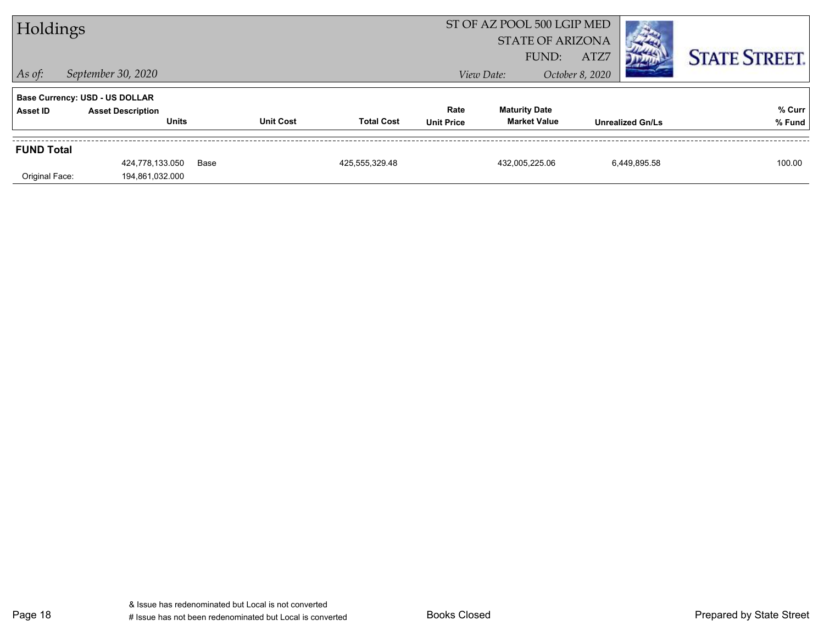| <b>STATE STREET.</b>                        |
|---------------------------------------------|
|                                             |
|                                             |
| % Curr<br>% Fund<br><b>Unrealized Gn/Ls</b> |
|                                             |
| 6.449.895.58<br>100.00                      |
|                                             |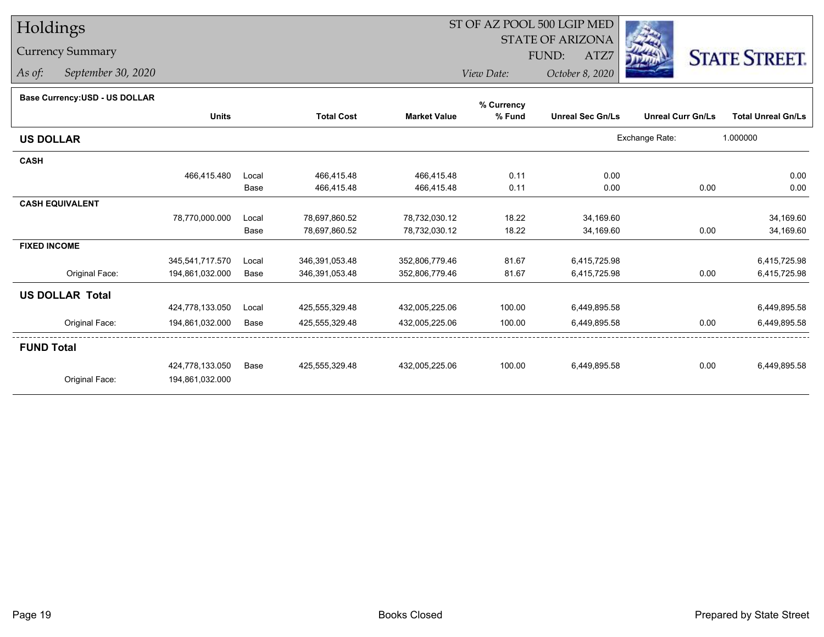# Holdings

### Currency Summary

*As of: September 30, 2020*

## ST OF AZ POOL 500 LGIP MED

 STATE OF ARIZONAFUND:

ATZ7



*View Date:October 8, 2020*

#### **Base Currency:USD - US DOLLAR**

|                        |                 |       |                   |                     | % Currency |                         |                          |                           |
|------------------------|-----------------|-------|-------------------|---------------------|------------|-------------------------|--------------------------|---------------------------|
|                        | <b>Units</b>    |       | <b>Total Cost</b> | <b>Market Value</b> | % Fund     | <b>Unreal Sec Gn/Ls</b> | <b>Unreal Curr Gn/Ls</b> | <b>Total Unreal Gn/Ls</b> |
| <b>US DOLLAR</b>       |                 |       |                   |                     |            |                         | Exchange Rate:           | 1.000000                  |
| <b>CASH</b>            |                 |       |                   |                     |            |                         |                          |                           |
|                        | 466,415.480     | Local | 466,415.48        | 466,415.48          | 0.11       | 0.00                    |                          | 0.00                      |
|                        |                 | Base  | 466,415.48        | 466,415.48          | 0.11       | 0.00                    | 0.00                     | 0.00                      |
| <b>CASH EQUIVALENT</b> |                 |       |                   |                     |            |                         |                          |                           |
|                        | 78,770,000.000  | Local | 78,697,860.52     | 78,732,030.12       | 18.22      | 34,169.60               |                          | 34,169.60                 |
|                        |                 | Base  | 78,697,860.52     | 78,732,030.12       | 18.22      | 34,169.60               | 0.00                     | 34,169.60                 |
| <b>FIXED INCOME</b>    |                 |       |                   |                     |            |                         |                          |                           |
|                        | 345,541,717.570 | Local | 346,391,053.48    | 352,806,779.46      | 81.67      | 6,415,725.98            |                          | 6,415,725.98              |
| Original Face:         | 194,861,032.000 | Base  | 346,391,053.48    | 352,806,779.46      | 81.67      | 6,415,725.98            | 0.00                     | 6,415,725.98              |
| <b>US DOLLAR Total</b> |                 |       |                   |                     |            |                         |                          |                           |
|                        | 424,778,133.050 | Local | 425,555,329.48    | 432,005,225.06      | 100.00     | 6,449,895.58            |                          | 6,449,895.58              |
| Original Face:         | 194,861,032.000 | Base  | 425,555,329.48    | 432,005,225.06      | 100.00     | 6,449,895.58            | 0.00                     | 6,449,895.58              |
| <b>FUND Total</b>      |                 |       |                   |                     |            |                         |                          |                           |
|                        | 424,778,133.050 | Base  | 425,555,329.48    | 432,005,225.06      | 100.00     | 6,449,895.58            | 0.00                     | 6,449,895.58              |
| Original Face:         | 194,861,032.000 |       |                   |                     |            |                         |                          |                           |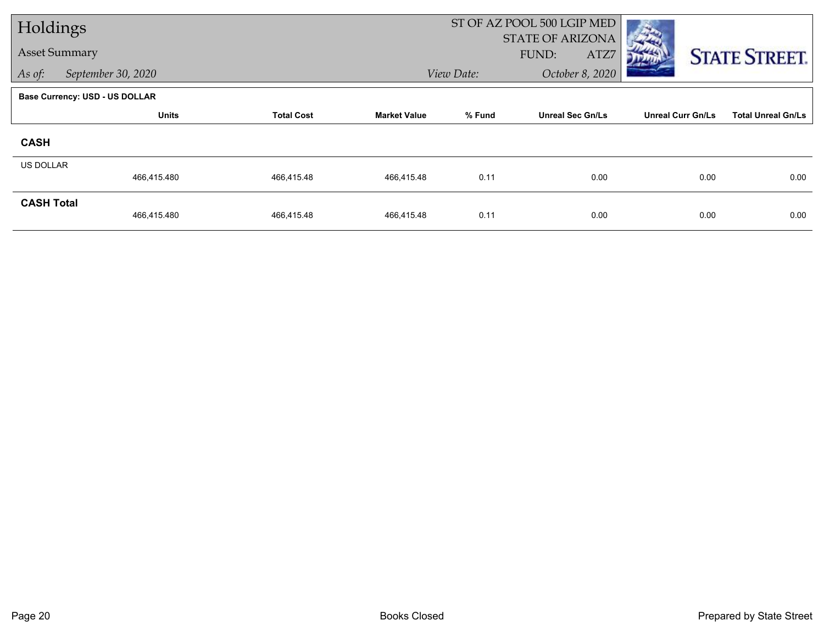| Holdings             |                                |                   |                     |            | ST OF AZ POOL 500 LGIP MED               |                          |                           |
|----------------------|--------------------------------|-------------------|---------------------|------------|------------------------------------------|--------------------------|---------------------------|
| <b>Asset Summary</b> |                                |                   |                     |            | <b>STATE OF ARIZONA</b><br>FUND:<br>ATZ7 |                          |                           |
|                      |                                |                   |                     |            |                                          |                          | <b>STATE STREET.</b>      |
| As of:               | September 30, 2020             |                   |                     | View Date: | October 8, 2020                          |                          |                           |
|                      | Base Currency: USD - US DOLLAR |                   |                     |            |                                          |                          |                           |
|                      | <b>Units</b>                   | <b>Total Cost</b> | <b>Market Value</b> | % Fund     | <b>Unreal Sec Gn/Ls</b>                  | <b>Unreal Curr Gn/Ls</b> | <b>Total Unreal Gn/Ls</b> |
| <b>CASH</b>          |                                |                   |                     |            |                                          |                          |                           |
| <b>US DOLLAR</b>     |                                |                   |                     |            |                                          |                          |                           |
|                      | 466,415.480                    | 466,415.48        | 466,415.48          | 0.11       | 0.00                                     | 0.00                     | 0.00                      |
| <b>CASH Total</b>    |                                |                   |                     |            |                                          |                          |                           |
|                      | 466,415.480                    | 466,415.48        | 466,415.48          | 0.11       | 0.00                                     | 0.00                     | 0.00                      |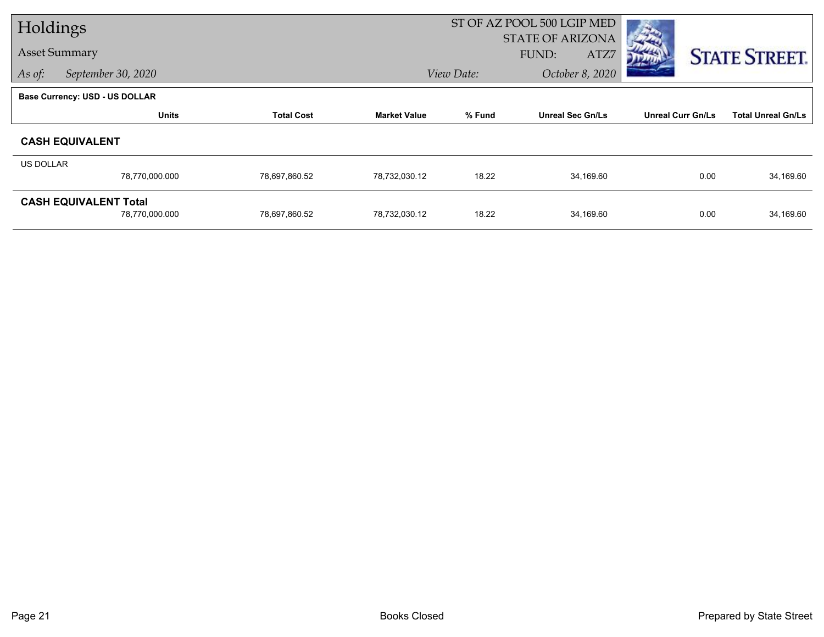| Holdings         |                                       |                   |                     | ST OF AZ POOL 500 LGIP MED |                         |                          |                           |  |  |
|------------------|---------------------------------------|-------------------|---------------------|----------------------------|-------------------------|--------------------------|---------------------------|--|--|
|                  |                                       |                   |                     |                            | <b>STATE OF ARIZONA</b> |                          |                           |  |  |
|                  | <b>Asset Summary</b>                  |                   |                     |                            | FUND:<br>ATZ7           |                          | <b>STATE STREET.</b>      |  |  |
| As of:           | September 30, 2020                    |                   |                     | View Date:                 | October 8, 2020         |                          |                           |  |  |
|                  | <b>Base Currency: USD - US DOLLAR</b> |                   |                     |                            |                         |                          |                           |  |  |
|                  | <b>Units</b>                          | <b>Total Cost</b> | <b>Market Value</b> | % Fund                     | <b>Unreal Sec Gn/Ls</b> | <b>Unreal Curr Gn/Ls</b> | <b>Total Unreal Gn/Ls</b> |  |  |
|                  | <b>CASH EQUIVALENT</b>                |                   |                     |                            |                         |                          |                           |  |  |
| <b>US DOLLAR</b> |                                       |                   |                     |                            |                         |                          |                           |  |  |
|                  | 78,770,000.000                        | 78,697,860.52     | 78,732,030.12       | 18.22                      | 34,169.60               | 0.00                     | 34,169.60                 |  |  |
|                  | <b>CASH EQUIVALENT Total</b>          |                   |                     |                            |                         |                          |                           |  |  |
|                  | 78,770,000.000                        | 78,697,860.52     | 78,732,030.12       | 18.22                      | 34,169.60               | 0.00                     | 34,169.60                 |  |  |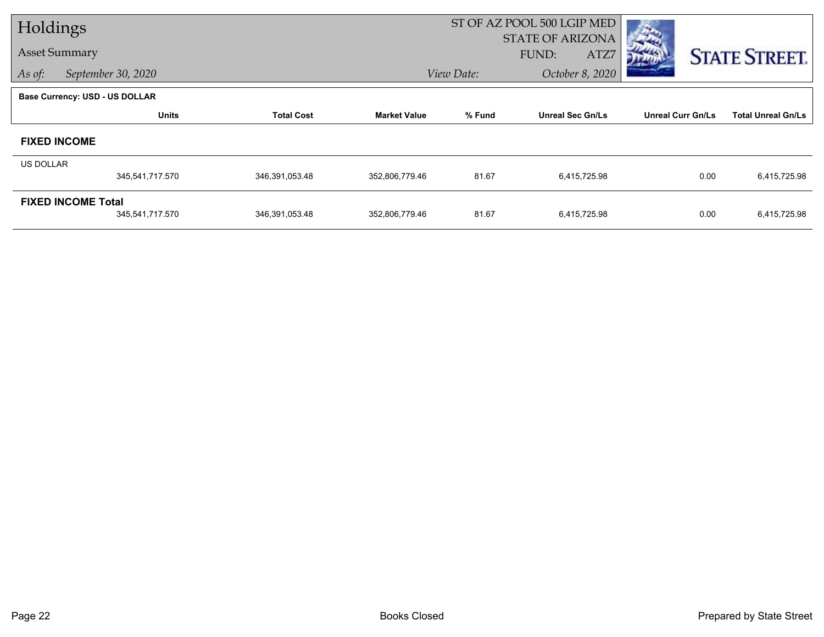| Holdings             |                                       |                   |                     |                         | ST OF AZ POOL 500 LGIP MED |                          |                           |
|----------------------|---------------------------------------|-------------------|---------------------|-------------------------|----------------------------|--------------------------|---------------------------|
| <b>Asset Summary</b> |                                       |                   |                     | <b>STATE OF ARIZONA</b> |                            |                          |                           |
|                      |                                       |                   |                     |                         | FUND:<br>ATZ7              |                          | <b>STATE STREET.</b>      |
| As of:               | September 30, 2020                    |                   |                     | View Date:              | October 8, 2020            |                          |                           |
|                      | <b>Base Currency: USD - US DOLLAR</b> |                   |                     |                         |                            |                          |                           |
|                      | <b>Units</b>                          | <b>Total Cost</b> | <b>Market Value</b> | % Fund                  | <b>Unreal Sec Gn/Ls</b>    | <b>Unreal Curr Gn/Ls</b> | <b>Total Unreal Gn/Ls</b> |
|                      | <b>FIXED INCOME</b>                   |                   |                     |                         |                            |                          |                           |
| <b>US DOLLAR</b>     |                                       |                   |                     |                         |                            |                          |                           |
|                      | 345,541,717.570                       | 346,391,053.48    | 352,806,779.46      | 81.67                   | 6,415,725.98               | 0.00                     | 6,415,725.98              |
|                      | <b>FIXED INCOME Total</b>             |                   |                     |                         |                            |                          |                           |
|                      | 345,541,717.570                       | 346,391,053.48    | 352,806,779.46      | 81.67                   | 6,415,725.98               | 0.00                     | 6,415,725.98              |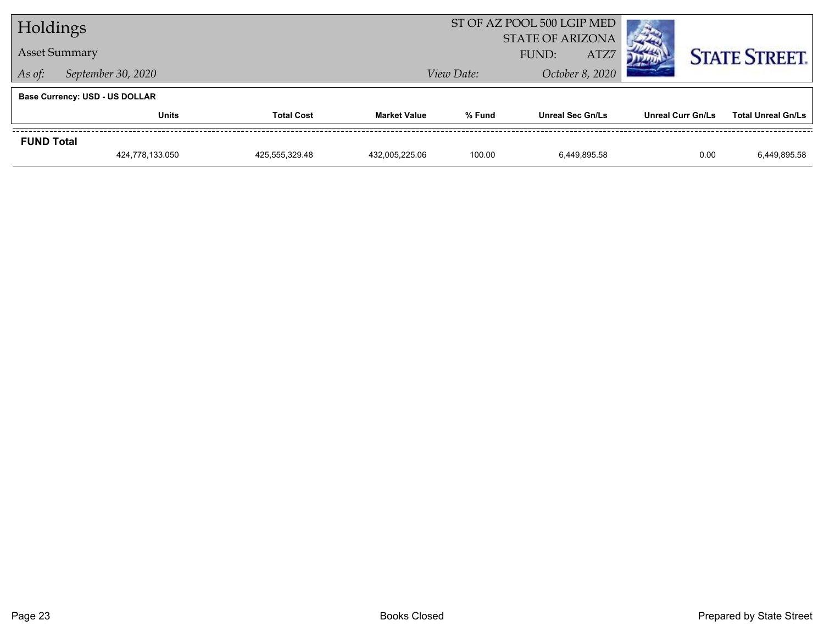| Holdings                              |                                   |                |                     | ST OF AZ POOL 500 LGIP MED               |                  |                 |                          |      |                           |  |
|---------------------------------------|-----------------------------------|----------------|---------------------|------------------------------------------|------------------|-----------------|--------------------------|------|---------------------------|--|
| <b>Asset Summary</b>                  |                                   |                |                     | <b>STATE OF ARIZONA</b><br>ATZ7<br>FUND: |                  |                 |                          |      | <b>STATE STREET.</b>      |  |
| September 30, 2020<br>As of:          |                                   |                |                     | View Date:                               |                  | October 8, 2020 |                          |      |                           |  |
| <b>Base Currency: USD - US DOLLAR</b> |                                   |                |                     |                                          |                  |                 |                          |      |                           |  |
|                                       | <b>Units</b><br><b>Total Cost</b> |                | <b>Market Value</b> | % Fund                                   | Unreal Sec Gn/Ls |                 | <b>Unreal Curr Gn/Ls</b> |      | <b>Total Unreal Gn/Ls</b> |  |
| <b>FUND Total</b>                     |                                   |                |                     |                                          |                  |                 |                          |      |                           |  |
|                                       | 424,778,133.050                   | 425,555,329.48 | 432.005.225.06      | 100.00                                   | 6.449.895.58     |                 |                          | 0.00 | 6,449,895.58              |  |